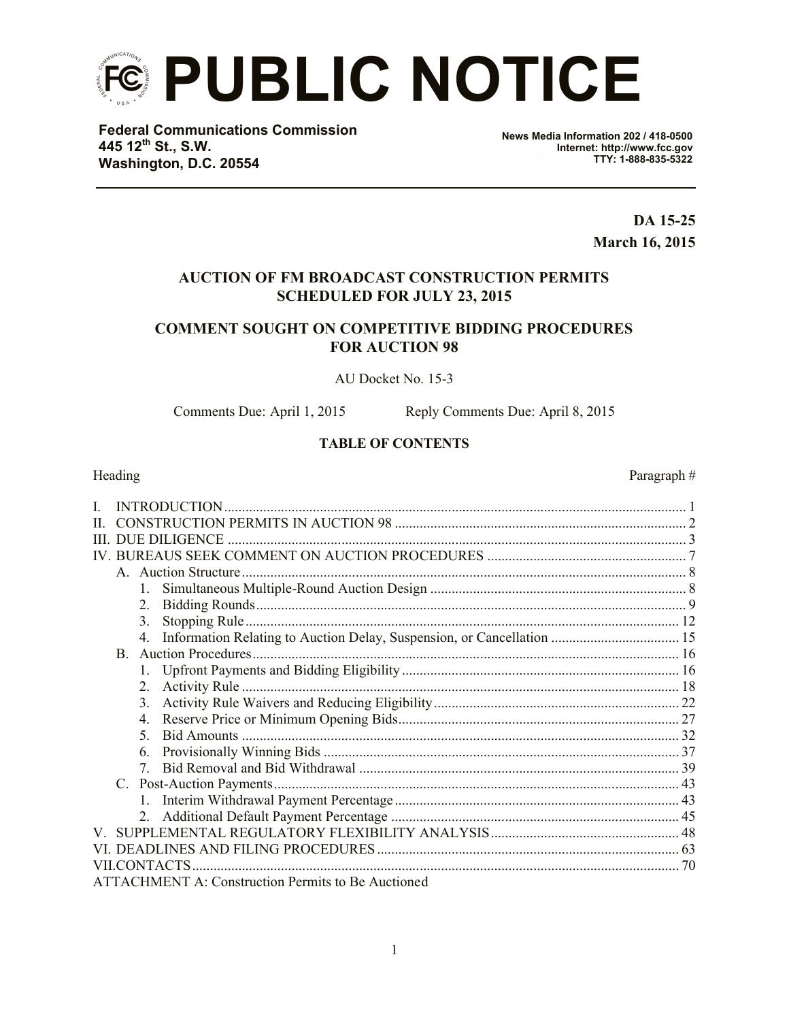

**Federal Communications Commission 445 12th St., S.W. Washington, D.C. 20554**

**News Media Information 202 / 418-0500 Internet: http://www.fcc.gov TTY: 1-888-835-5322**

> **DA 15-25 March 16, 2015**

# **AUCTION OF FM BROADCAST CONSTRUCTION PERMITS SCHEDULED FOR JULY 23, 2015**

# **COMMENT SOUGHT ON COMPETITIVE BIDDING PROCEDURES FOR AUCTION 98**

#### AU Docket No. 15-3

Comments Due: April 1, 2015 Reply Comments Due: April 8, 2015

#### **TABLE OF CONTENTS**

# Heading Paragraph  $\#$ I. INTRODUCTION.................................................................................................................................. 1 II. CONSTRUCTION PERMITS IN AUCTION 98 .................................................................................. 2 III. DUE DILIGENCE ................................................................................................................................. 3 IV. BUREAUS SEEK COMMENT ON AUCTION PROCEDURES ........................................................ 7 A. Auction Structure ............................................................................................................................. 8 1. Simultaneous Multiple-Round Auction Design ........................................................................ 8 2. Bidding Rounds......................................................................................................................... 9 3. Stopping Rule .......................................................................................................................... 12 4. Information Relating to Auction Delay, Suspension, or Cancellation .................................... 15 B. Auction Procedures........................................................................................................................ 16 1. Upfront Payments and Bidding Eligibility .............................................................................. 16 2. Activity Rule ........................................................................................................................... 18 3. Activity Rule Waivers and Reducing Eligibility..................................................................... 22 4. Reserve Price or Minimum Opening Bids............................................................................... 27 5. Bid Amounts ........................................................................................................................... 32 6. Provisionally Winning Bids .................................................................................................... 37 7. Bid Removal and Bid Withdrawal .......................................................................................... 39 C. Post-Auction Payments.................................................................................................................. 43 1. Interim Withdrawal Payment Percentage ................................................................................ 43 2. Additional Default Payment Percentage ................................................................................. 45 V. SUPPLEMENTAL REGULATORY FLEXIBILITY ANALYSIS..................................................... 48 VI. DEADLINES AND FILING PROCEDURES..................................................................................... 63 VII.CONTACTS......................................................................................................................................... 70 ATTACHMENT A: Construction Permits to Be Auctioned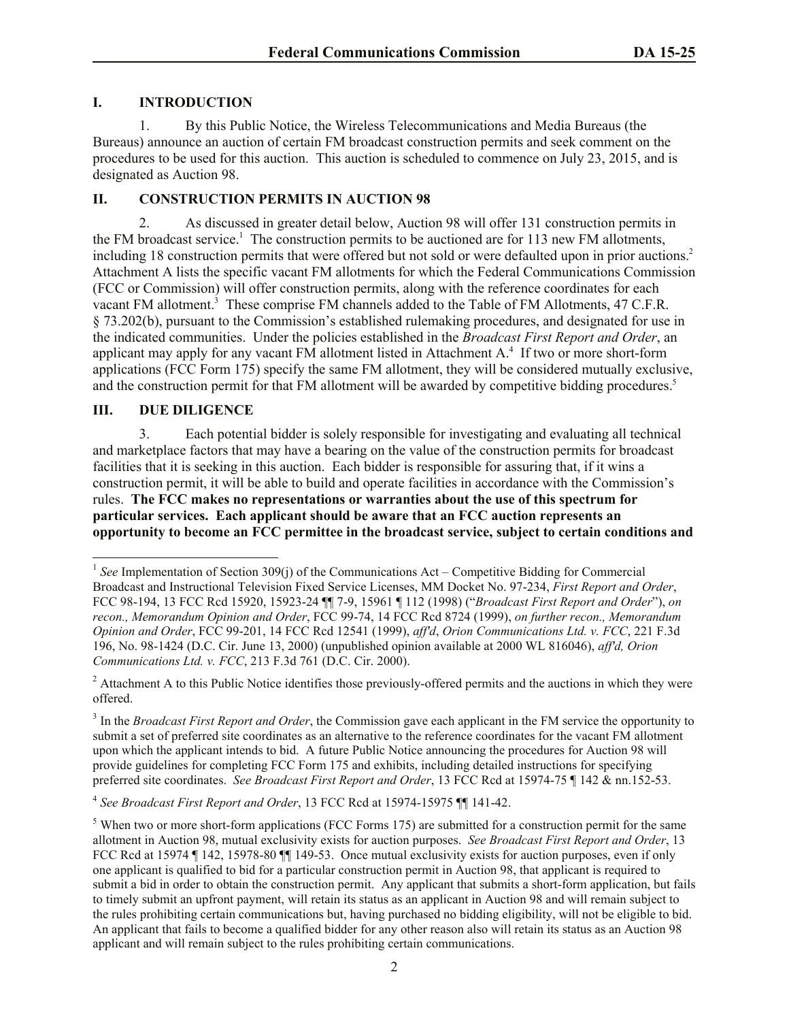# **I. INTRODUCTION**

1. By this Public Notice, the Wireless Telecommunications and Media Bureaus (the Bureaus) announce an auction of certain FM broadcast construction permits and seek comment on the procedures to be used for this auction. This auction is scheduled to commence on July 23, 2015, and is designated as Auction 98.

# **II. CONSTRUCTION PERMITS IN AUCTION 98**

2. As discussed in greater detail below, Auction 98 will offer 131 construction permits in the FM broadcast service.<sup>1</sup> The construction permits to be auctioned are for 113 new FM allotments, including 18 construction permits that were offered but not sold or were defaulted upon in prior auctions.<sup>2</sup> Attachment A lists the specific vacant FM allotments for which the Federal Communications Commission (FCC or Commission) will offer construction permits, along with the reference coordinates for each vacant FM allotment.<sup>3</sup> These comprise FM channels added to the Table of FM Allotments, 47 C.F.R. § 73.202(b), pursuant to the Commission's established rulemaking procedures, and designated for use in the indicated communities. Under the policies established in the *Broadcast First Report and Order*, an applicant may apply for any vacant FM allotment listed in Attachment  $A<sup>4</sup>$ . If two or more short-form applications (FCC Form 175) specify the same FM allotment, they will be considered mutually exclusive, and the construction permit for that FM allotment will be awarded by competitive bidding procedures.<sup>5</sup>

### **III. DUE DILIGENCE**

l

3. Each potential bidder is solely responsible for investigating and evaluating all technical and marketplace factors that may have a bearing on the value of the construction permits for broadcast facilities that it is seeking in this auction. Each bidder is responsible for assuring that, if it wins a construction permit, it will be able to build and operate facilities in accordance with the Commission's rules. **The FCC makes no representations or warranties about the use of this spectrum for particular services. Each applicant should be aware that an FCC auction represents an opportunity to become an FCC permittee in the broadcast service, subject to certain conditions and** 

4 *See Broadcast First Report and Order*, 13 FCC Rcd at 15974-15975 ¶¶ 141-42.

<sup>&</sup>lt;sup>1</sup> See Implementation of Section 309(j) of the Communications Act – Competitive Bidding for Commercial Broadcast and Instructional Television Fixed Service Licenses, MM Docket No. 97-234, *First Report and Order*, FCC 98-194, 13 FCC Rcd 15920, 15923-24 ¶¶ 7-9, 15961 ¶ 112 (1998) ("*Broadcast First Report and Order*"), *on recon., Memorandum Opinion and Order*, FCC 99-74, 14 FCC Rcd 8724 (1999), *on further recon., Memorandum Opinion and Order*, FCC 99-201, 14 FCC Rcd 12541 (1999), *aff'd*, *Orion Communications Ltd. v. FCC*, 221 F.3d 196, No. 98-1424 (D.C. Cir. June 13, 2000) (unpublished opinion available at 2000 WL 816046), *aff'd, Orion Communications Ltd. v. FCC*, 213 F.3d 761 (D.C. Cir. 2000).

<sup>&</sup>lt;sup>2</sup> Attachment A to this Public Notice identifies those previously-offered permits and the auctions in which they were offered.

<sup>&</sup>lt;sup>3</sup> In the *Broadcast First Report and Order*, the Commission gave each applicant in the FM service the opportunity to submit a set of preferred site coordinates as an alternative to the reference coordinates for the vacant FM allotment upon which the applicant intends to bid. A future Public Notice announcing the procedures for Auction 98 will provide guidelines for completing FCC Form 175 and exhibits, including detailed instructions for specifying preferred site coordinates. *See Broadcast First Report and Order*, 13 FCC Rcd at 15974-75 ¶ 142 & nn.152-53.

<sup>5</sup> When two or more short-form applications (FCC Forms 175) are submitted for a construction permit for the same allotment in Auction 98, mutual exclusivity exists for auction purposes. *See Broadcast First Report and Order*, 13 FCC Rcd at 15974 ¶ 142, 15978-80 ¶¶ 149-53. Once mutual exclusivity exists for auction purposes, even if only one applicant is qualified to bid for a particular construction permit in Auction 98, that applicant is required to submit a bid in order to obtain the construction permit. Any applicant that submits a short-form application, but fails to timely submit an upfront payment, will retain its status as an applicant in Auction 98 and will remain subject to the rules prohibiting certain communications but, having purchased no bidding eligibility, will not be eligible to bid. An applicant that fails to become a qualified bidder for any other reason also will retain its status as an Auction 98 applicant and will remain subject to the rules prohibiting certain communications.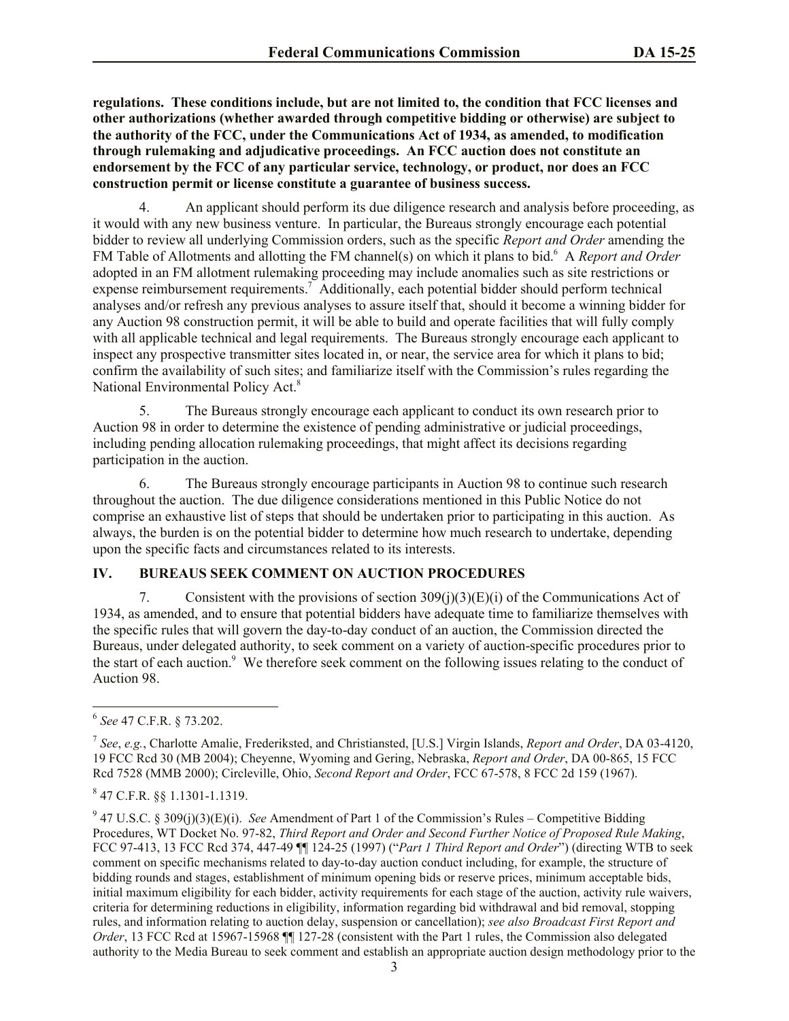**regulations. These conditions include, but are not limited to, the condition that FCC licenses and other authorizations (whether awarded through competitive bidding or otherwise) are subject to the authority of the FCC, under the Communications Act of 1934, as amended, to modification through rulemaking and adjudicative proceedings. An FCC auction does not constitute an endorsement by the FCC of any particular service, technology, or product, nor does an FCC construction permit or license constitute a guarantee of business success.**

4. An applicant should perform its due diligence research and analysis before proceeding, as it would with any new business venture. In particular, the Bureaus strongly encourage each potential bidder to review all underlying Commission orders, such as the specific *Report and Order* amending the FM Table of Allotments and allotting the FM channel(s) on which it plans to bid.<sup>6</sup> A *Report and Order* adopted in an FM allotment rulemaking proceeding may include anomalies such as site restrictions or expense reimbursement requirements.<sup>7</sup> Additionally, each potential bidder should perform technical analyses and/or refresh any previous analyses to assure itself that, should it become a winning bidder for any Auction 98 construction permit, it will be able to build and operate facilities that will fully comply with all applicable technical and legal requirements. The Bureaus strongly encourage each applicant to inspect any prospective transmitter sites located in, or near, the service area for which it plans to bid; confirm the availability of such sites; and familiarize itself with the Commission's rules regarding the National Environmental Policy Act.<sup>8</sup>

5. The Bureaus strongly encourage each applicant to conduct its own research prior to Auction 98 in order to determine the existence of pending administrative or judicial proceedings, including pending allocation rulemaking proceedings, that might affect its decisions regarding participation in the auction.

6. The Bureaus strongly encourage participants in Auction 98 to continue such research throughout the auction. The due diligence considerations mentioned in this Public Notice do not comprise an exhaustive list of steps that should be undertaken prior to participating in this auction. As always, the burden is on the potential bidder to determine how much research to undertake, depending upon the specific facts and circumstances related to its interests.

# **IV. BUREAUS SEEK COMMENT ON AUCTION PROCEDURES**

7. Consistent with the provisions of section  $309(i)(3)(E)(i)$  of the Communications Act of 1934, as amended, and to ensure that potential bidders have adequate time to familiarize themselves with the specific rules that will govern the day-to-day conduct of an auction, the Commission directed the Bureaus, under delegated authority, to seek comment on a variety of auction-specific procedures prior to the start of each auction.<sup>9</sup> We therefore seek comment on the following issues relating to the conduct of Auction 98.

<sup>6</sup> *See* 47 C.F.R. § 73.202.

<sup>7</sup> *See*, *e.g.*, Charlotte Amalie, Frederiksted, and Christiansted, [U.S.] Virgin Islands, *Report and Order*, DA 03-4120, 19 FCC Rcd 30 (MB 2004); Cheyenne, Wyoming and Gering, Nebraska, *Report and Order*, DA 00-865, 15 FCC Rcd 7528 (MMB 2000); Circleville, Ohio, *Second Report and Order*, FCC 67-578, 8 FCC 2d 159 (1967).

<sup>8</sup> 47 C.F.R. §§ 1.1301-1.1319.

<sup>&</sup>lt;sup>9</sup> 47 U.S.C. § 309(j)(3)(E)(i). *See* Amendment of Part 1 of the Commission's Rules – Competitive Bidding Procedures, WT Docket No. 97-82, *Third Report and Order and Second Further Notice of Proposed Rule Making*, FCC 97-413, 13 FCC Rcd 374, 447-49 ¶¶ 124-25 (1997) ("*Part 1 Third Report and Order*") (directing WTB to seek comment on specific mechanisms related to day-to-day auction conduct including, for example, the structure of bidding rounds and stages, establishment of minimum opening bids or reserve prices, minimum acceptable bids, initial maximum eligibility for each bidder, activity requirements for each stage of the auction, activity rule waivers, criteria for determining reductions in eligibility, information regarding bid withdrawal and bid removal, stopping rules, and information relating to auction delay, suspension or cancellation); *see also Broadcast First Report and Order*, 13 FCC Rcd at 15967-15968 ¶¶ 127-28 (consistent with the Part 1 rules, the Commission also delegated authority to the Media Bureau to seek comment and establish an appropriate auction design methodology prior to the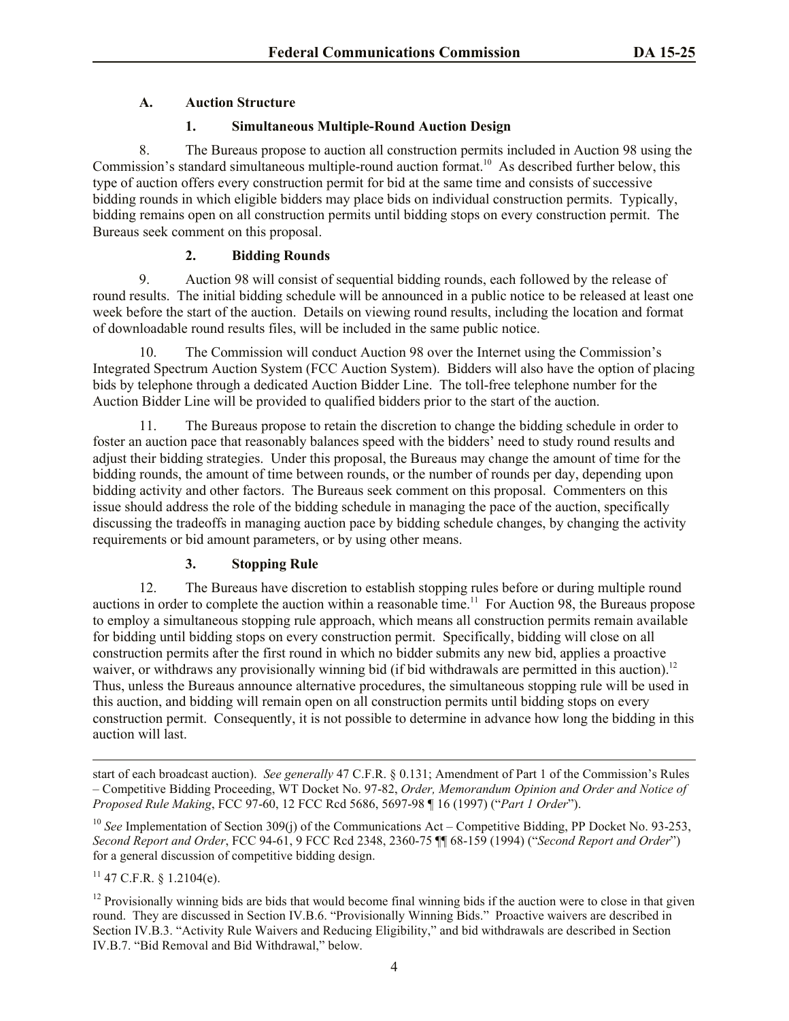# **A. Auction Structure**

## **1. Simultaneous Multiple-Round Auction Design**

8. The Bureaus propose to auction all construction permits included in Auction 98 using the Commission's standard simultaneous multiple-round auction format.<sup>10</sup> As described further below, this type of auction offers every construction permit for bid at the same time and consists of successive bidding rounds in which eligible bidders may place bids on individual construction permits. Typically, bidding remains open on all construction permits until bidding stops on every construction permit. The Bureaus seek comment on this proposal.

# **2. Bidding Rounds**

9. Auction 98 will consist of sequential bidding rounds, each followed by the release of round results. The initial bidding schedule will be announced in a public notice to be released at least one week before the start of the auction. Details on viewing round results, including the location and format of downloadable round results files, will be included in the same public notice.

10. The Commission will conduct Auction 98 over the Internet using the Commission's Integrated Spectrum Auction System (FCC Auction System). Bidders will also have the option of placing bids by telephone through a dedicated Auction Bidder Line. The toll-free telephone number for the Auction Bidder Line will be provided to qualified bidders prior to the start of the auction.

11. The Bureaus propose to retain the discretion to change the bidding schedule in order to foster an auction pace that reasonably balances speed with the bidders' need to study round results and adjust their bidding strategies. Under this proposal, the Bureaus may change the amount of time for the bidding rounds, the amount of time between rounds, or the number of rounds per day, depending upon bidding activity and other factors. The Bureaus seek comment on this proposal. Commenters on this issue should address the role of the bidding schedule in managing the pace of the auction, specifically discussing the tradeoffs in managing auction pace by bidding schedule changes, by changing the activity requirements or bid amount parameters, or by using other means.

# **3. Stopping Rule**

12. The Bureaus have discretion to establish stopping rules before or during multiple round auctions in order to complete the auction within a reasonable time.<sup>11</sup> For Auction 98, the Bureaus propose to employ a simultaneous stopping rule approach, which means all construction permits remain available for bidding until bidding stops on every construction permit. Specifically, bidding will close on all construction permits after the first round in which no bidder submits any new bid, applies a proactive waiver, or withdraws any provisionally winning bid (if bid withdrawals are permitted in this auction).<sup>12</sup> Thus, unless the Bureaus announce alternative procedures, the simultaneous stopping rule will be used in this auction, and bidding will remain open on all construction permits until bidding stops on every construction permit. Consequently, it is not possible to determine in advance how long the bidding in this auction will last.

start of each broadcast auction). *See generally* 47 C.F.R. § 0.131; Amendment of Part 1 of the Commission's Rules – Competitive Bidding Proceeding, WT Docket No. 97-82, *Order, Memorandum Opinion and Order and Notice of Proposed Rule Making*, FCC 97-60, 12 FCC Rcd 5686, 5697-98 ¶ 16 (1997) ("*Part 1 Order*").

<sup>&</sup>lt;sup>10</sup> *See* Implementation of Section 309(j) of the Communications Act – Competitive Bidding, PP Docket No. 93-253, *Second Report and Order*, FCC 94-61, 9 FCC Rcd 2348, 2360-75 ¶¶ 68-159 (1994) ("*Second Report and Order*") for a general discussion of competitive bidding design.

 $11$  47 C.F.R. § 1.2104(e).

<sup>&</sup>lt;sup>12</sup> Provisionally winning bids are bids that would become final winning bids if the auction were to close in that given round. They are discussed in Section IV.B.6. "Provisionally Winning Bids." Proactive waivers are described in Section IV.B.3. "Activity Rule Waivers and Reducing Eligibility," and bid withdrawals are described in Section IV.B.7. "Bid Removal and Bid Withdrawal," below.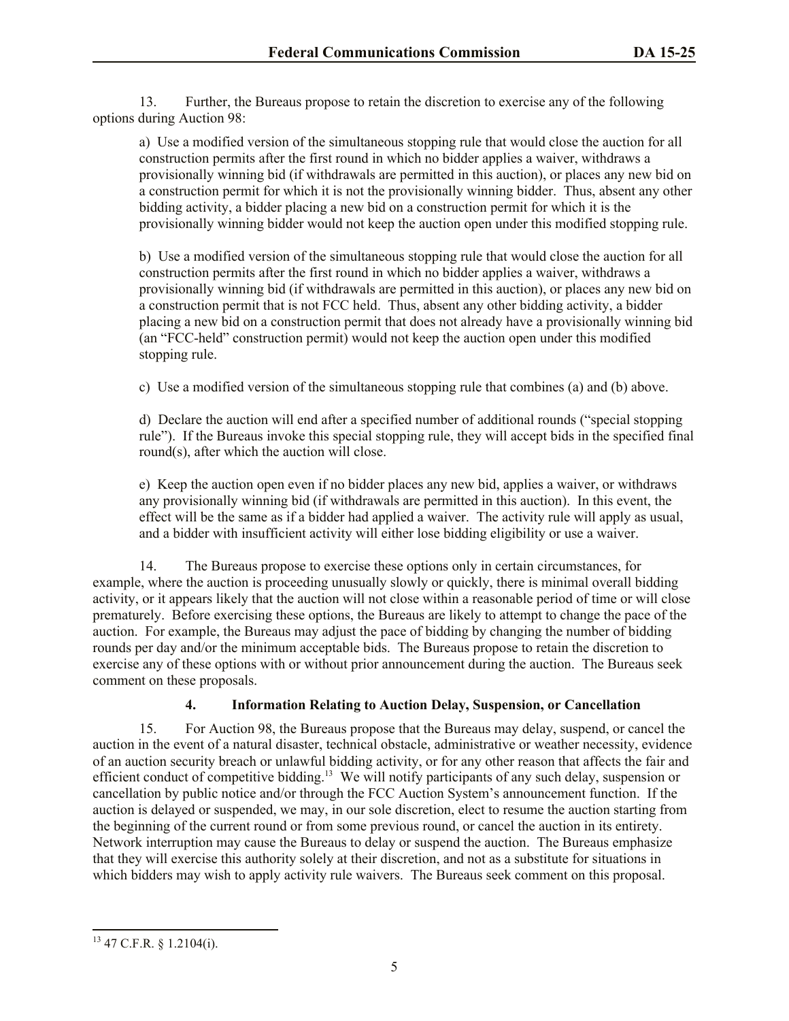13. Further, the Bureaus propose to retain the discretion to exercise any of the following options during Auction 98:

a) Use a modified version of the simultaneous stopping rule that would close the auction for all construction permits after the first round in which no bidder applies a waiver, withdraws a provisionally winning bid (if withdrawals are permitted in this auction), or places any new bid on a construction permit for which it is not the provisionally winning bidder. Thus, absent any other bidding activity, a bidder placing a new bid on a construction permit for which it is the provisionally winning bidder would not keep the auction open under this modified stopping rule.

b) Use a modified version of the simultaneous stopping rule that would close the auction for all construction permits after the first round in which no bidder applies a waiver, withdraws a provisionally winning bid (if withdrawals are permitted in this auction), or places any new bid on a construction permit that is not FCC held. Thus, absent any other bidding activity, a bidder placing a new bid on a construction permit that does not already have a provisionally winning bid (an "FCC-held" construction permit) would not keep the auction open under this modified stopping rule.

c) Use a modified version of the simultaneous stopping rule that combines (a) and (b) above.

d) Declare the auction will end after a specified number of additional rounds ("special stopping rule"). If the Bureaus invoke this special stopping rule, they will accept bids in the specified final round(s), after which the auction will close.

e) Keep the auction open even if no bidder places any new bid, applies a waiver, or withdraws any provisionally winning bid (if withdrawals are permitted in this auction). In this event, the effect will be the same as if a bidder had applied a waiver. The activity rule will apply as usual, and a bidder with insufficient activity will either lose bidding eligibility or use a waiver.

14. The Bureaus propose to exercise these options only in certain circumstances, for example, where the auction is proceeding unusually slowly or quickly, there is minimal overall bidding activity, or it appears likely that the auction will not close within a reasonable period of time or will close prematurely. Before exercising these options, the Bureaus are likely to attempt to change the pace of the auction. For example, the Bureaus may adjust the pace of bidding by changing the number of bidding rounds per day and/or the minimum acceptable bids. The Bureaus propose to retain the discretion to exercise any of these options with or without prior announcement during the auction. The Bureaus seek comment on these proposals.

# **4. Information Relating to Auction Delay, Suspension, or Cancellation**

15. For Auction 98, the Bureaus propose that the Bureaus may delay, suspend, or cancel the auction in the event of a natural disaster, technical obstacle, administrative or weather necessity, evidence of an auction security breach or unlawful bidding activity, or for any other reason that affects the fair and efficient conduct of competitive bidding.<sup>13</sup> We will notify participants of any such delay, suspension or cancellation by public notice and/or through the FCC Auction System's announcement function. If the auction is delayed or suspended, we may, in our sole discretion, elect to resume the auction starting from the beginning of the current round or from some previous round, or cancel the auction in its entirety. Network interruption may cause the Bureaus to delay or suspend the auction. The Bureaus emphasize that they will exercise this authority solely at their discretion, and not as a substitute for situations in which bidders may wish to apply activity rule waivers. The Bureaus seek comment on this proposal.

 $13$  47 C.F.R. § 1.2104(i).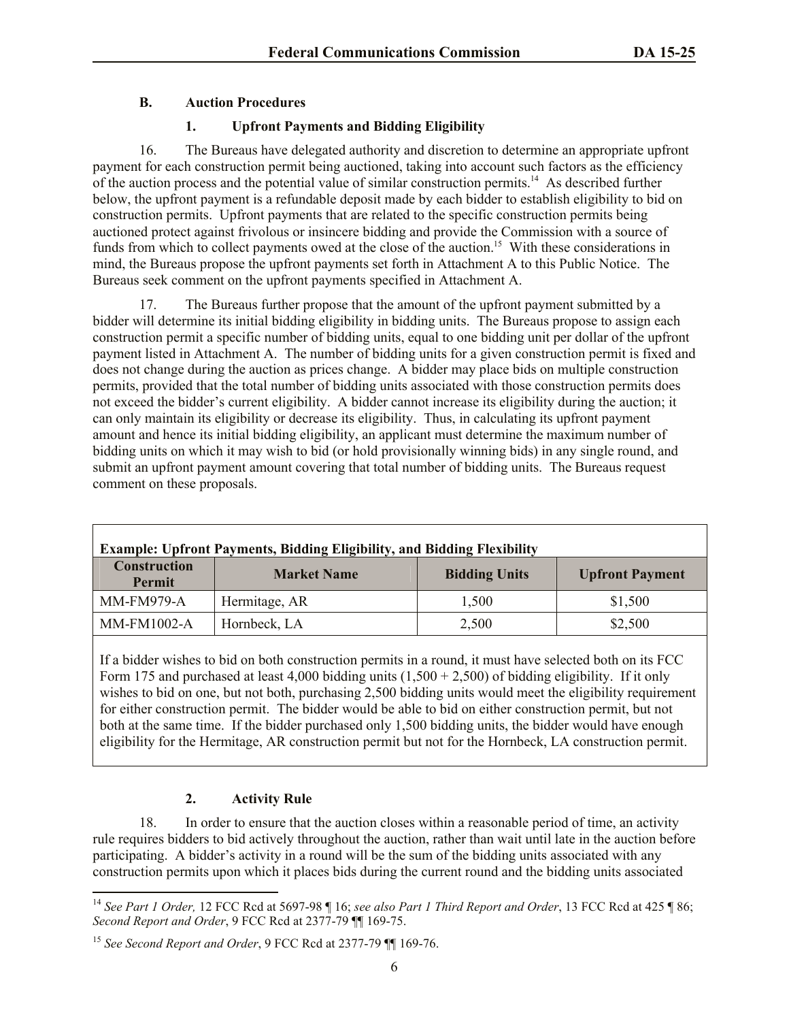# **B. Auction Procedures**

# **1. Upfront Payments and Bidding Eligibility**

16. The Bureaus have delegated authority and discretion to determine an appropriate upfront payment for each construction permit being auctioned, taking into account such factors as the efficiency of the auction process and the potential value of similar construction permits.<sup>14</sup> As described further below, the upfront payment is a refundable deposit made by each bidder to establish eligibility to bid on construction permits. Upfront payments that are related to the specific construction permits being auctioned protect against frivolous or insincere bidding and provide the Commission with a source of funds from which to collect payments owed at the close of the auction.<sup>15</sup> With these considerations in mind, the Bureaus propose the upfront payments set forth in Attachment A to this Public Notice. The Bureaus seek comment on the upfront payments specified in Attachment A.

17. The Bureaus further propose that the amount of the upfront payment submitted by a bidder will determine its initial bidding eligibility in bidding units. The Bureaus propose to assign each construction permit a specific number of bidding units, equal to one bidding unit per dollar of the upfront payment listed in Attachment A. The number of bidding units for a given construction permit is fixed and does not change during the auction as prices change. A bidder may place bids on multiple construction permits, provided that the total number of bidding units associated with those construction permits does not exceed the bidder's current eligibility. A bidder cannot increase its eligibility during the auction; it can only maintain its eligibility or decrease its eligibility. Thus, in calculating its upfront payment amount and hence its initial bidding eligibility, an applicant must determine the maximum number of bidding units on which it may wish to bid (or hold provisionally winning bids) in any single round, and submit an upfront payment amount covering that total number of bidding units. The Bureaus request comment on these proposals.

| <b>Example: Upfront Payments, Bidding Eligibility, and Bidding Flexibility</b> |                    |                      |                        |
|--------------------------------------------------------------------------------|--------------------|----------------------|------------------------|
| <b>Construction</b><br><b>Permit</b>                                           | <b>Market Name</b> | <b>Bidding Units</b> | <b>Upfront Payment</b> |
| MM-FM979-A                                                                     | Hermitage, AR      | 1,500                | \$1,500                |
| $MM-FM1002-A$                                                                  | Hornbeck, LA       | 2,500                | \$2,500                |

If a bidder wishes to bid on both construction permits in a round, it must have selected both on its FCC Form 175 and purchased at least 4,000 bidding units  $(1,500 + 2,500)$  of bidding eligibility. If it only wishes to bid on one, but not both, purchasing 2,500 bidding units would meet the eligibility requirement for either construction permit. The bidder would be able to bid on either construction permit, but not both at the same time. If the bidder purchased only 1,500 bidding units, the bidder would have enough eligibility for the Hermitage, AR construction permit but not for the Hornbeck, LA construction permit.

# **2. Activity Rule**

18. In order to ensure that the auction closes within a reasonable period of time, an activity rule requires bidders to bid actively throughout the auction, rather than wait until late in the auction before participating. A bidder's activity in a round will be the sum of the bidding units associated with any construction permits upon which it places bids during the current round and the bidding units associated

l <sup>14</sup> *See Part 1 Order,* 12 FCC Rcd at 5697-98 ¶ 16; *see also Part 1 Third Report and Order*, 13 FCC Rcd at 425 ¶ 86; *Second Report and Order*, 9 FCC Rcd at 2377-79 ¶¶ 169-75.

<sup>15</sup> *See Second Report and Order*, 9 FCC Rcd at 2377-79 ¶¶ 169-76.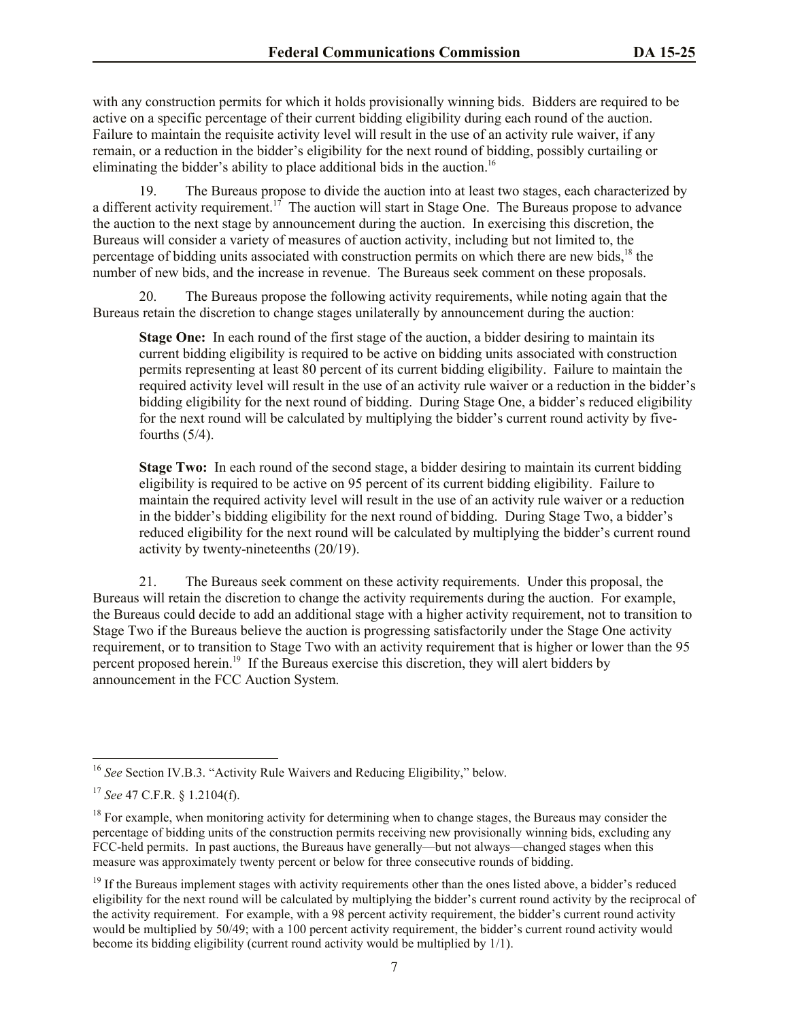with any construction permits for which it holds provisionally winning bids. Bidders are required to be active on a specific percentage of their current bidding eligibility during each round of the auction. Failure to maintain the requisite activity level will result in the use of an activity rule waiver, if any remain, or a reduction in the bidder's eligibility for the next round of bidding, possibly curtailing or eliminating the bidder's ability to place additional bids in the auction.<sup>16</sup>

19. The Bureaus propose to divide the auction into at least two stages, each characterized by a different activity requirement.<sup>17</sup> The auction will start in Stage One. The Bureaus propose to advance the auction to the next stage by announcement during the auction. In exercising this discretion, the Bureaus will consider a variety of measures of auction activity, including but not limited to, the percentage of bidding units associated with construction permits on which there are new bids, $18$  the number of new bids, and the increase in revenue. The Bureaus seek comment on these proposals.

20. The Bureaus propose the following activity requirements, while noting again that the Bureaus retain the discretion to change stages unilaterally by announcement during the auction:

**Stage One:** In each round of the first stage of the auction, a bidder desiring to maintain its current bidding eligibility is required to be active on bidding units associated with construction permits representing at least 80 percent of its current bidding eligibility. Failure to maintain the required activity level will result in the use of an activity rule waiver or a reduction in the bidder's bidding eligibility for the next round of bidding. During Stage One, a bidder's reduced eligibility for the next round will be calculated by multiplying the bidder's current round activity by fivefourths  $(5/4)$ .

**Stage Two:** In each round of the second stage, a bidder desiring to maintain its current bidding eligibility is required to be active on 95 percent of its current bidding eligibility. Failure to maintain the required activity level will result in the use of an activity rule waiver or a reduction in the bidder's bidding eligibility for the next round of bidding. During Stage Two, a bidder's reduced eligibility for the next round will be calculated by multiplying the bidder's current round activity by twenty-nineteenths (20/19).

21. The Bureaus seek comment on these activity requirements. Under this proposal, the Bureaus will retain the discretion to change the activity requirements during the auction. For example, the Bureaus could decide to add an additional stage with a higher activity requirement, not to transition to Stage Two if the Bureaus believe the auction is progressing satisfactorily under the Stage One activity requirement, or to transition to Stage Two with an activity requirement that is higher or lower than the 95 percent proposed herein.<sup>19</sup> If the Bureaus exercise this discretion, they will alert bidders by announcement in the FCC Auction System.

 $\overline{\phantom{a}}$ <sup>16</sup> *See* Section IV.B.3. "Activity Rule Waivers and Reducing Eligibility," below.

<sup>17</sup> *See* 47 C.F.R. § 1.2104(f).

<sup>&</sup>lt;sup>18</sup> For example, when monitoring activity for determining when to change stages, the Bureaus may consider the percentage of bidding units of the construction permits receiving new provisionally winning bids, excluding any FCC-held permits. In past auctions, the Bureaus have generally—but not always—changed stages when this measure was approximately twenty percent or below for three consecutive rounds of bidding.

<sup>&</sup>lt;sup>19</sup> If the Bureaus implement stages with activity requirements other than the ones listed above, a bidder's reduced eligibility for the next round will be calculated by multiplying the bidder's current round activity by the reciprocal of the activity requirement. For example, with a 98 percent activity requirement, the bidder's current round activity would be multiplied by 50/49; with a 100 percent activity requirement, the bidder's current round activity would become its bidding eligibility (current round activity would be multiplied by 1/1).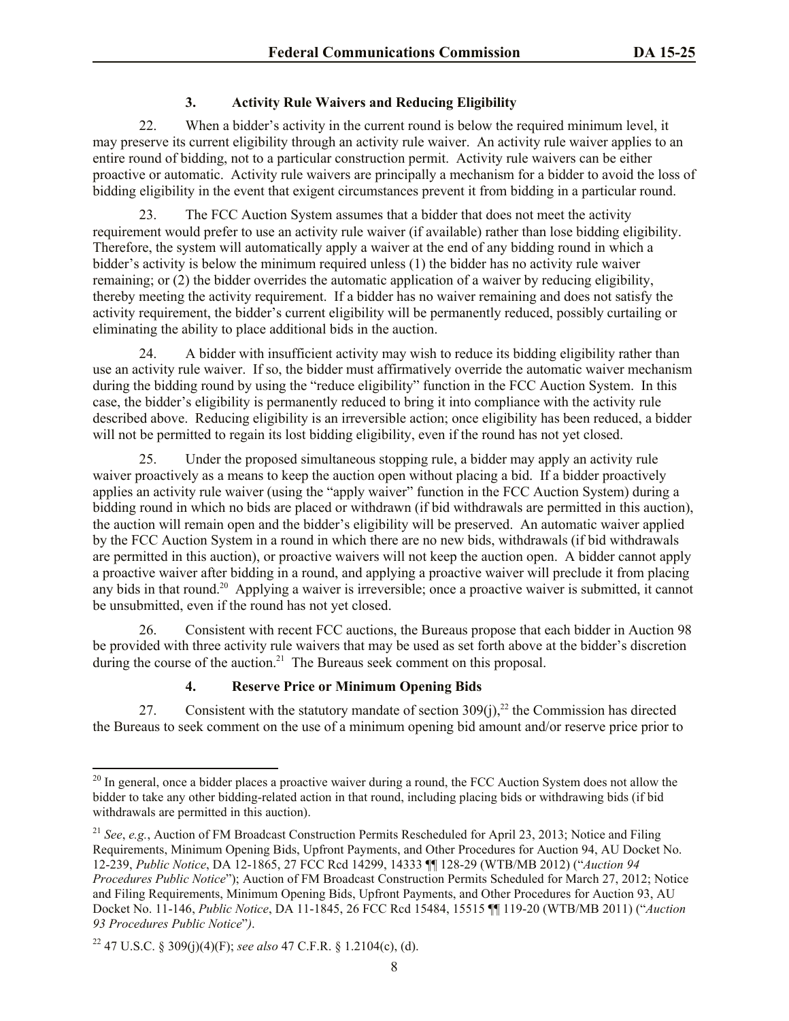# **3. Activity Rule Waivers and Reducing Eligibility**

22. When a bidder's activity in the current round is below the required minimum level, it may preserve its current eligibility through an activity rule waiver. An activity rule waiver applies to an entire round of bidding, not to a particular construction permit. Activity rule waivers can be either proactive or automatic. Activity rule waivers are principally a mechanism for a bidder to avoid the loss of bidding eligibility in the event that exigent circumstances prevent it from bidding in a particular round.

The FCC Auction System assumes that a bidder that does not meet the activity requirement would prefer to use an activity rule waiver (if available) rather than lose bidding eligibility. Therefore, the system will automatically apply a waiver at the end of any bidding round in which a bidder's activity is below the minimum required unless (1) the bidder has no activity rule waiver remaining; or (2) the bidder overrides the automatic application of a waiver by reducing eligibility, thereby meeting the activity requirement. If a bidder has no waiver remaining and does not satisfy the activity requirement, the bidder's current eligibility will be permanently reduced, possibly curtailing or eliminating the ability to place additional bids in the auction.

24. A bidder with insufficient activity may wish to reduce its bidding eligibility rather than use an activity rule waiver. If so, the bidder must affirmatively override the automatic waiver mechanism during the bidding round by using the "reduce eligibility" function in the FCC Auction System. In this case, the bidder's eligibility is permanently reduced to bring it into compliance with the activity rule described above. Reducing eligibility is an irreversible action; once eligibility has been reduced, a bidder will not be permitted to regain its lost bidding eligibility, even if the round has not yet closed.

Under the proposed simultaneous stopping rule, a bidder may apply an activity rule waiver proactively as a means to keep the auction open without placing a bid. If a bidder proactively applies an activity rule waiver (using the "apply waiver" function in the FCC Auction System) during a bidding round in which no bids are placed or withdrawn (if bid withdrawals are permitted in this auction), the auction will remain open and the bidder's eligibility will be preserved. An automatic waiver applied by the FCC Auction System in a round in which there are no new bids, withdrawals (if bid withdrawals are permitted in this auction), or proactive waivers will not keep the auction open. A bidder cannot apply a proactive waiver after bidding in a round, and applying a proactive waiver will preclude it from placing any bids in that round.<sup>20</sup> Applying a waiver is irreversible; once a proactive waiver is submitted, it cannot be unsubmitted, even if the round has not yet closed.

26. Consistent with recent FCC auctions, the Bureaus propose that each bidder in Auction 98 be provided with three activity rule waivers that may be used as set forth above at the bidder's discretion during the course of the auction.<sup>21</sup> The Bureaus seek comment on this proposal.

# **4. Reserve Price or Minimum Opening Bids**

27. Consistent with the statutory mandate of section  $309(j)$ ,<sup>22</sup> the Commission has directed the Bureaus to seek comment on the use of a minimum opening bid amount and/or reserve price prior to

 $20$  In general, once a bidder places a proactive waiver during a round, the FCC Auction System does not allow the bidder to take any other bidding-related action in that round, including placing bids or withdrawing bids (if bid withdrawals are permitted in this auction).

<sup>21</sup> *See*, *e.g.*, Auction of FM Broadcast Construction Permits Rescheduled for April 23, 2013; Notice and Filing Requirements, Minimum Opening Bids, Upfront Payments, and Other Procedures for Auction 94, AU Docket No. 12-239, *Public Notice*, DA 12-1865, 27 FCC Rcd 14299, 14333 ¶¶ 128-29 (WTB/MB 2012) ("*Auction 94 Procedures Public Notice*"); Auction of FM Broadcast Construction Permits Scheduled for March 27, 2012; Notice and Filing Requirements, Minimum Opening Bids, Upfront Payments, and Other Procedures for Auction 93, AU Docket No. 11-146, *Public Notice*, DA 11-1845, 26 FCC Rcd 15484, 15515 ¶¶ 119-20 (WTB/MB 2011) ("*Auction 93 Procedures Public Notice*"*)*.

<sup>22</sup> 47 U.S.C. § 309(j)(4)(F); *see also* 47 C.F.R. § 1.2104(c), (d).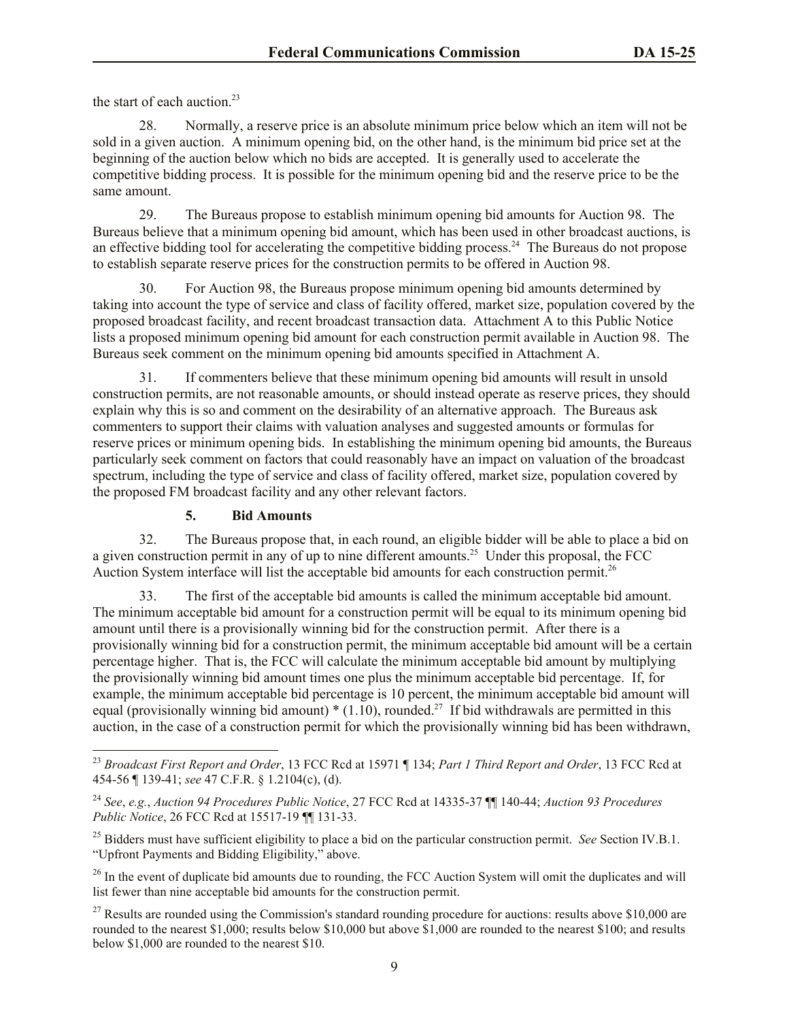the start of each auction. $23$ 

28. Normally, a reserve price is an absolute minimum price below which an item will not be sold in a given auction. A minimum opening bid, on the other hand, is the minimum bid price set at the beginning of the auction below which no bids are accepted. It is generally used to accelerate the competitive bidding process. It is possible for the minimum opening bid and the reserve price to be the same amount.

29. The Bureaus propose to establish minimum opening bid amounts for Auction 98. The Bureaus believe that a minimum opening bid amount, which has been used in other broadcast auctions, is an effective bidding tool for accelerating the competitive bidding process.<sup>24</sup> The Bureaus do not propose to establish separate reserve prices for the construction permits to be offered in Auction 98.

30. For Auction 98, the Bureaus propose minimum opening bid amounts determined by taking into account the type of service and class of facility offered, market size, population covered by the proposed broadcast facility, and recent broadcast transaction data. Attachment A to this Public Notice lists a proposed minimum opening bid amount for each construction permit available in Auction 98. The Bureaus seek comment on the minimum opening bid amounts specified in Attachment A.

31. If commenters believe that these minimum opening bid amounts will result in unsold construction permits, are not reasonable amounts, or should instead operate as reserve prices, they should explain why this is so and comment on the desirability of an alternative approach. The Bureaus ask commenters to support their claims with valuation analyses and suggested amounts or formulas for reserve prices or minimum opening bids. In establishing the minimum opening bid amounts, the Bureaus particularly seek comment on factors that could reasonably have an impact on valuation of the broadcast spectrum, including the type of service and class of facility offered, market size, population covered by the proposed FM broadcast facility and any other relevant factors.

# **5. Bid Amounts**

l

32. The Bureaus propose that, in each round, an eligible bidder will be able to place a bid on a given construction permit in any of up to nine different amounts.<sup>25</sup> Under this proposal, the FCC Auction System interface will list the acceptable bid amounts for each construction permit.<sup>26</sup>

33. The first of the acceptable bid amounts is called the minimum acceptable bid amount. The minimum acceptable bid amount for a construction permit will be equal to its minimum opening bid amount until there is a provisionally winning bid for the construction permit. After there is a provisionally winning bid for a construction permit, the minimum acceptable bid amount will be a certain percentage higher. That is, the FCC will calculate the minimum acceptable bid amount by multiplying the provisionally winning bid amount times one plus the minimum acceptable bid percentage. If, for example, the minimum acceptable bid percentage is 10 percent, the minimum acceptable bid amount will equal (provisionally winning bid amount)  $*(1.10)$ , rounded.<sup>27</sup> If bid withdrawals are permitted in this auction, in the case of a construction permit for which the provisionally winning bid has been withdrawn,

<sup>23</sup> *Broadcast First Report and Order*, 13 FCC Rcd at 15971 ¶ 134; *Part 1 Third Report and Order*, 13 FCC Rcd at 454-56 ¶ 139-41; *see* 47 C.F.R. § 1.2104(c), (d).

<sup>24</sup> *See*, *e.g.*, *Auction 94 Procedures Public Notice*, 27 FCC Rcd at 14335-37 ¶¶ 140-44; *Auction 93 Procedures Public Notice*, 26 FCC Rcd at 15517-19 ¶¶ 131-33.

<sup>25</sup> Bidders must have sufficient eligibility to place a bid on the particular construction permit. *See* Section IV.B.1. "Upfront Payments and Bidding Eligibility," above.

<sup>&</sup>lt;sup>26</sup> In the event of duplicate bid amounts due to rounding, the FCC Auction System will omit the duplicates and will list fewer than nine acceptable bid amounts for the construction permit.

 $27$  Results are rounded using the Commission's standard rounding procedure for auctions: results above \$10,000 are rounded to the nearest \$1,000; results below \$10,000 but above \$1,000 are rounded to the nearest \$100; and results below \$1,000 are rounded to the nearest \$10.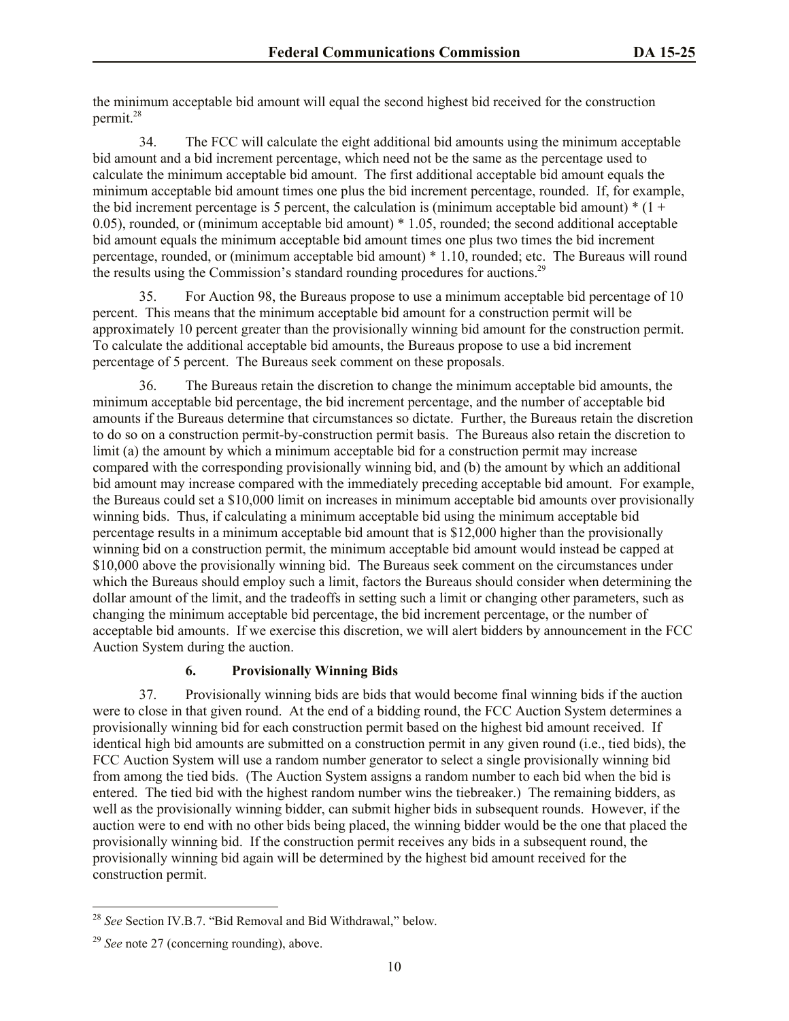the minimum acceptable bid amount will equal the second highest bid received for the construction permit.<sup>28</sup>

34. The FCC will calculate the eight additional bid amounts using the minimum acceptable bid amount and a bid increment percentage, which need not be the same as the percentage used to calculate the minimum acceptable bid amount. The first additional acceptable bid amount equals the minimum acceptable bid amount times one plus the bid increment percentage, rounded. If, for example, the bid increment percentage is 5 percent, the calculation is (minimum acceptable bid amount)  $*(1 +$ 0.05), rounded, or (minimum acceptable bid amount) \* 1.05, rounded; the second additional acceptable bid amount equals the minimum acceptable bid amount times one plus two times the bid increment percentage, rounded, or (minimum acceptable bid amount) \* 1.10, rounded; etc. The Bureaus will round the results using the Commission's standard rounding procedures for auctions.<sup>29</sup>

35. For Auction 98, the Bureaus propose to use a minimum acceptable bid percentage of 10 percent. This means that the minimum acceptable bid amount for a construction permit will be approximately 10 percent greater than the provisionally winning bid amount for the construction permit. To calculate the additional acceptable bid amounts, the Bureaus propose to use a bid increment percentage of 5 percent. The Bureaus seek comment on these proposals.

36. The Bureaus retain the discretion to change the minimum acceptable bid amounts, the minimum acceptable bid percentage, the bid increment percentage, and the number of acceptable bid amounts if the Bureaus determine that circumstances so dictate. Further, the Bureaus retain the discretion to do so on a construction permit-by-construction permit basis. The Bureaus also retain the discretion to limit (a) the amount by which a minimum acceptable bid for a construction permit may increase compared with the corresponding provisionally winning bid, and (b) the amount by which an additional bid amount may increase compared with the immediately preceding acceptable bid amount. For example, the Bureaus could set a \$10,000 limit on increases in minimum acceptable bid amounts over provisionally winning bids. Thus, if calculating a minimum acceptable bid using the minimum acceptable bid percentage results in a minimum acceptable bid amount that is \$12,000 higher than the provisionally winning bid on a construction permit, the minimum acceptable bid amount would instead be capped at \$10,000 above the provisionally winning bid. The Bureaus seek comment on the circumstances under which the Bureaus should employ such a limit, factors the Bureaus should consider when determining the dollar amount of the limit, and the tradeoffs in setting such a limit or changing other parameters, such as changing the minimum acceptable bid percentage, the bid increment percentage, or the number of acceptable bid amounts. If we exercise this discretion, we will alert bidders by announcement in the FCC Auction System during the auction.

# **6. Provisionally Winning Bids**

37. Provisionally winning bids are bids that would become final winning bids if the auction were to close in that given round. At the end of a bidding round, the FCC Auction System determines a provisionally winning bid for each construction permit based on the highest bid amount received. If identical high bid amounts are submitted on a construction permit in any given round (i.e., tied bids), the FCC Auction System will use a random number generator to select a single provisionally winning bid from among the tied bids. (The Auction System assigns a random number to each bid when the bid is entered. The tied bid with the highest random number wins the tiebreaker.) The remaining bidders, as well as the provisionally winning bidder, can submit higher bids in subsequent rounds. However, if the auction were to end with no other bids being placed, the winning bidder would be the one that placed the provisionally winning bid. If the construction permit receives any bids in a subsequent round, the provisionally winning bid again will be determined by the highest bid amount received for the construction permit.

l <sup>28</sup> *See* Section IV.B.7. "Bid Removal and Bid Withdrawal," below.

<sup>29</sup> *See* note 27 (concerning rounding), above.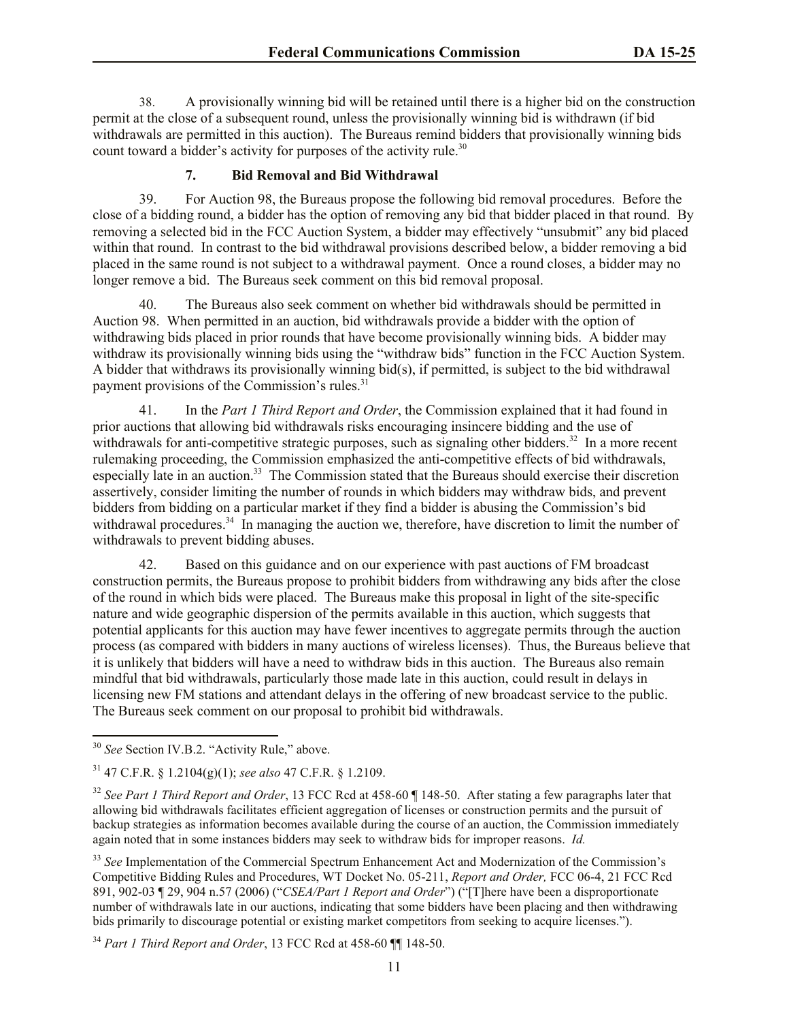38. A provisionally winning bid will be retained until there is a higher bid on the construction permit at the close of a subsequent round, unless the provisionally winning bid is withdrawn (if bid withdrawals are permitted in this auction). The Bureaus remind bidders that provisionally winning bids count toward a bidder's activity for purposes of the activity rule.<sup>30</sup>

# **7. Bid Removal and Bid Withdrawal**

39. For Auction 98, the Bureaus propose the following bid removal procedures. Before the close of a bidding round, a bidder has the option of removing any bid that bidder placed in that round. By removing a selected bid in the FCC Auction System, a bidder may effectively "unsubmit" any bid placed within that round. In contrast to the bid withdrawal provisions described below, a bidder removing a bid placed in the same round is not subject to a withdrawal payment. Once a round closes, a bidder may no longer remove a bid. The Bureaus seek comment on this bid removal proposal.

40. The Bureaus also seek comment on whether bid withdrawals should be permitted in Auction 98. When permitted in an auction, bid withdrawals provide a bidder with the option of withdrawing bids placed in prior rounds that have become provisionally winning bids. A bidder may withdraw its provisionally winning bids using the "withdraw bids" function in the FCC Auction System. A bidder that withdraws its provisionally winning bid(s), if permitted, is subject to the bid withdrawal payment provisions of the Commission's rules.<sup>31</sup>

41. In the *Part 1 Third Report and Order*, the Commission explained that it had found in prior auctions that allowing bid withdrawals risks encouraging insincere bidding and the use of withdrawals for anti-competitive strategic purposes, such as signaling other bidders.<sup>32</sup> In a more recent rulemaking proceeding, the Commission emphasized the anti-competitive effects of bid withdrawals, especially late in an auction.<sup>33</sup> The Commission stated that the Bureaus should exercise their discretion assertively, consider limiting the number of rounds in which bidders may withdraw bids, and prevent bidders from bidding on a particular market if they find a bidder is abusing the Commission's bid withdrawal procedures.<sup>34</sup> In managing the auction we, therefore, have discretion to limit the number of withdrawals to prevent bidding abuses.

42. Based on this guidance and on our experience with past auctions of FM broadcast construction permits, the Bureaus propose to prohibit bidders from withdrawing any bids after the close of the round in which bids were placed. The Bureaus make this proposal in light of the site-specific nature and wide geographic dispersion of the permits available in this auction, which suggests that potential applicants for this auction may have fewer incentives to aggregate permits through the auction process (as compared with bidders in many auctions of wireless licenses). Thus, the Bureaus believe that it is unlikely that bidders will have a need to withdraw bids in this auction. The Bureaus also remain mindful that bid withdrawals, particularly those made late in this auction, could result in delays in licensing new FM stations and attendant delays in the offering of new broadcast service to the public. The Bureaus seek comment on our proposal to prohibit bid withdrawals.

l <sup>30</sup> See Section IV.B.2. "Activity Rule," above.

<sup>31</sup> 47 C.F.R. § 1.2104(g)(1); *see also* 47 C.F.R. § 1.2109.

<sup>32</sup> *See Part 1 Third Report and Order*, 13 FCC Rcd at 458-60 ¶ 148-50. After stating a few paragraphs later that allowing bid withdrawals facilitates efficient aggregation of licenses or construction permits and the pursuit of backup strategies as information becomes available during the course of an auction, the Commission immediately again noted that in some instances bidders may seek to withdraw bids for improper reasons. *Id.*

<sup>33</sup> *See* Implementation of the Commercial Spectrum Enhancement Act and Modernization of the Commission's Competitive Bidding Rules and Procedures, WT Docket No. 05-211, *Report and Order,* FCC 06-4, 21 FCC Rcd 891, 902-03 ¶ 29, 904 n.57 (2006) ("*CSEA/Part 1 Report and Order*") ("[T]here have been a disproportionate number of withdrawals late in our auctions, indicating that some bidders have been placing and then withdrawing bids primarily to discourage potential or existing market competitors from seeking to acquire licenses.").

<sup>34</sup> *Part 1 Third Report and Order*, 13 FCC Rcd at 458-60 ¶¶ 148-50.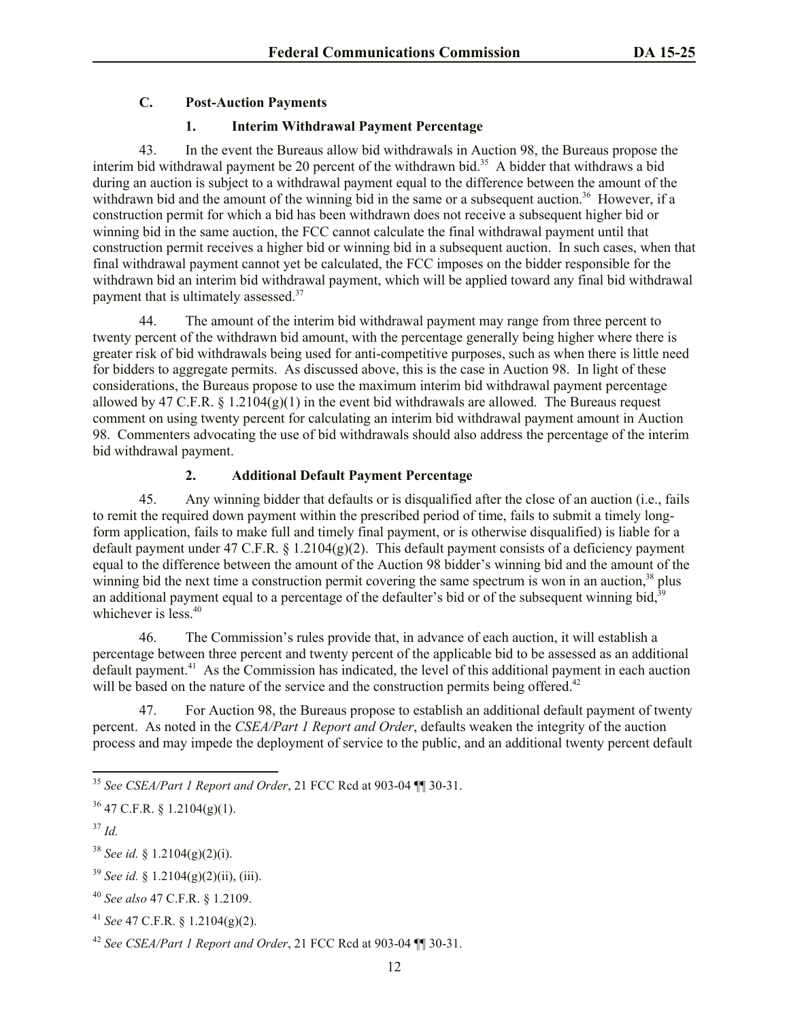# **C. Post-Auction Payments**

## **1. Interim Withdrawal Payment Percentage**

43. In the event the Bureaus allow bid withdrawals in Auction 98, the Bureaus propose the interim bid withdrawal payment be 20 percent of the withdrawn bid.<sup>35</sup> A bidder that withdraws a bid during an auction is subject to a withdrawal payment equal to the difference between the amount of the withdrawn bid and the amount of the winning bid in the same or a subsequent auction.<sup>36</sup> However, if a construction permit for which a bid has been withdrawn does not receive a subsequent higher bid or winning bid in the same auction, the FCC cannot calculate the final withdrawal payment until that construction permit receives a higher bid or winning bid in a subsequent auction. In such cases, when that final withdrawal payment cannot yet be calculated, the FCC imposes on the bidder responsible for the withdrawn bid an interim bid withdrawal payment, which will be applied toward any final bid withdrawal payment that is ultimately assessed.<sup>37</sup>

44. The amount of the interim bid withdrawal payment may range from three percent to twenty percent of the withdrawn bid amount, with the percentage generally being higher where there is greater risk of bid withdrawals being used for anti-competitive purposes, such as when there is little need for bidders to aggregate permits. As discussed above, this is the case in Auction 98. In light of these considerations, the Bureaus propose to use the maximum interim bid withdrawal payment percentage allowed by 47 C.F.R.  $\S 1.2104(g)(1)$  in the event bid withdrawals are allowed. The Bureaus request comment on using twenty percent for calculating an interim bid withdrawal payment amount in Auction 98. Commenters advocating the use of bid withdrawals should also address the percentage of the interim bid withdrawal payment.

# **2. Additional Default Payment Percentage**

45. Any winning bidder that defaults or is disqualified after the close of an auction (i.e., fails to remit the required down payment within the prescribed period of time, fails to submit a timely longform application, fails to make full and timely final payment, or is otherwise disqualified) is liable for a default payment under 47 C.F.R.  $\S 1.2104(g)(2)$ . This default payment consists of a deficiency payment equal to the difference between the amount of the Auction 98 bidder's winning bid and the amount of the winning bid the next time a construction permit covering the same spectrum is won in an auction,<sup>38</sup> plus an additional payment equal to a percentage of the defaulter's bid or of the subsequent winning bid,  $39$ whichever is less.<sup>40</sup>

46. The Commission's rules provide that, in advance of each auction, it will establish a percentage between three percent and twenty percent of the applicable bid to be assessed as an additional default payment.<sup>41</sup> As the Commission has indicated, the level of this additional payment in each auction will be based on the nature of the service and the construction permits being offered.<sup>42</sup>

47. For Auction 98, the Bureaus propose to establish an additional default payment of twenty percent. As noted in the *CSEA/Part 1 Report and Order*, defaults weaken the integrity of the auction process and may impede the deployment of service to the public, and an additional twenty percent default

l <sup>35</sup> *See CSEA/Part 1 Report and Order*, 21 FCC Rcd at 903-04 ¶¶ 30-31.

 $36$  47 C.F.R. § 1.2104(g)(1).

<sup>37</sup> *Id.*

<sup>38</sup> *See id.* § 1.2104(g)(2)(i).

<sup>&</sup>lt;sup>39</sup> *See id.* § 1.2104(g)(2)(ii), (iii).

<sup>40</sup> *See also* 47 C.F.R. § 1.2109.

<sup>41</sup> *See* 47 C.F.R. § 1.2104(g)(2).

<sup>42</sup> *See CSEA/Part 1 Report and Order*, 21 FCC Rcd at 903-04 ¶¶ 30-31.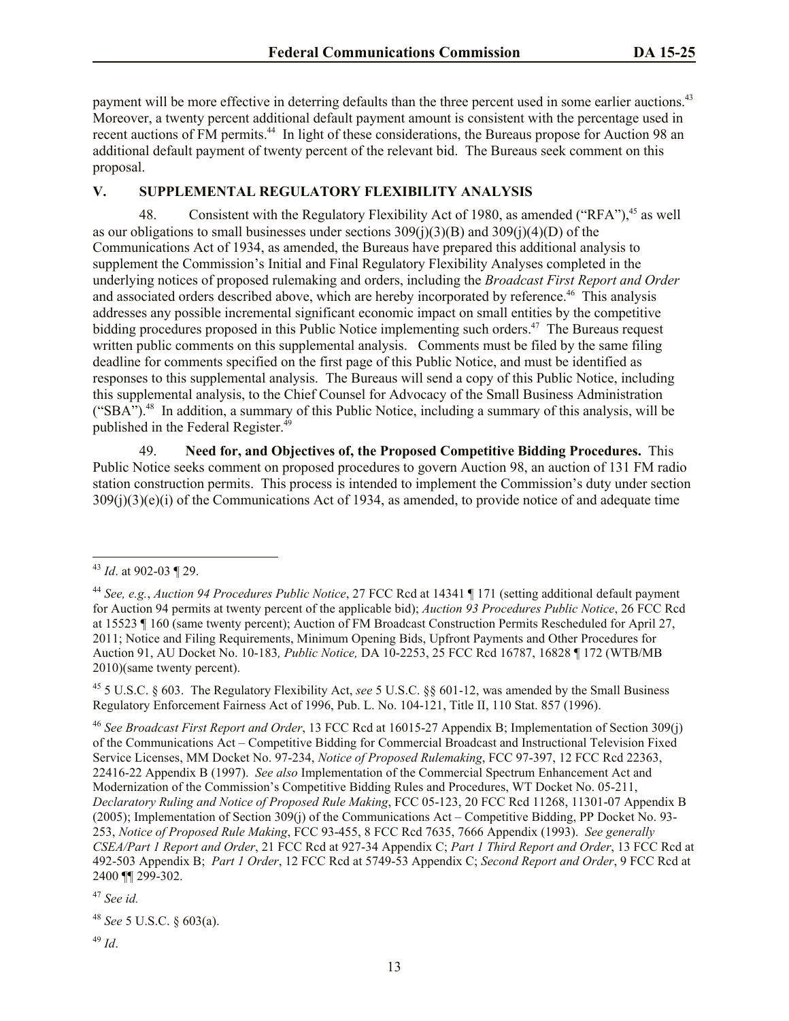payment will be more effective in deterring defaults than the three percent used in some earlier auctions.<sup>43</sup> Moreover, a twenty percent additional default payment amount is consistent with the percentage used in recent auctions of FM permits.<sup>44</sup> In light of these considerations, the Bureaus propose for Auction 98 an additional default payment of twenty percent of the relevant bid. The Bureaus seek comment on this proposal.

# **V. SUPPLEMENTAL REGULATORY FLEXIBILITY ANALYSIS**

48. Consistent with the Regulatory Flexibility Act of 1980, as amended ("RFA").<sup>45</sup> as well as our obligations to small businesses under sections  $309(i)(3)(B)$  and  $309(i)(4)(D)$  of the Communications Act of 1934, as amended, the Bureaus have prepared this additional analysis to supplement the Commission's Initial and Final Regulatory Flexibility Analyses completed in the underlying notices of proposed rulemaking and orders, including the *Broadcast First Report and Order*  and associated orders described above, which are hereby incorporated by reference.<sup>46</sup> This analysis addresses any possible incremental significant economic impact on small entities by the competitive bidding procedures proposed in this Public Notice implementing such orders. $47$  The Bureaus request written public comments on this supplemental analysis. Comments must be filed by the same filing deadline for comments specified on the first page of this Public Notice, and must be identified as responses to this supplemental analysis. The Bureaus will send a copy of this Public Notice, including this supplemental analysis, to the Chief Counsel for Advocacy of the Small Business Administration ("SBA").<sup>48</sup> In addition, a summary of this Public Notice, including a summary of this analysis, will be published in the Federal Register.<sup>49</sup>

49. **Need for, and Objectives of, the Proposed Competitive Bidding Procedures.** This Public Notice seeks comment on proposed procedures to govern Auction 98, an auction of 131 FM radio station construction permits. This process is intended to implement the Commission's duty under section  $309(i)(3)(e)(i)$  of the Communications Act of 1934, as amended, to provide notice of and adequate time

<sup>45</sup> 5 U.S.C. § 603. The Regulatory Flexibility Act, *see* 5 U.S.C. §§ 601-12, was amended by the Small Business Regulatory Enforcement Fairness Act of 1996, Pub. L. No. 104-121, Title II, 110 Stat. 857 (1996).

<sup>46</sup> *See Broadcast First Report and Order*, 13 FCC Rcd at 16015-27 Appendix B; Implementation of Section 309(j) of the Communications Act – Competitive Bidding for Commercial Broadcast and Instructional Television Fixed Service Licenses, MM Docket No. 97-234, *Notice of Proposed Rulemaking*, FCC 97-397, 12 FCC Rcd 22363, 22416-22 Appendix B (1997). *See also* Implementation of the Commercial Spectrum Enhancement Act and Modernization of the Commission's Competitive Bidding Rules and Procedures, WT Docket No. 05-211, *Declaratory Ruling and Notice of Proposed Rule Making*, FCC 05-123, 20 FCC Rcd 11268, 11301-07 Appendix B (2005); Implementation of Section 309(j) of the Communications Act – Competitive Bidding, PP Docket No. 93- 253, *Notice of Proposed Rule Making*, FCC 93-455, 8 FCC Rcd 7635, 7666 Appendix (1993). *See generally CSEA/Part 1 Report and Order*, 21 FCC Rcd at 927-34 Appendix C; *Part 1 Third Report and Order*, 13 FCC Rcd at 492-503 Appendix B; *Part 1 Order*, 12 FCC Rcd at 5749-53 Appendix C; *Second Report and Order*, 9 FCC Rcd at 2400 ¶¶ 299-302.

<sup>47</sup> *See id.*

<sup>48</sup> *See* 5 U.S.C. § 603(a).

l <sup>43</sup> *Id*. at 902-03 ¶ 29.

<sup>44</sup> *See, e.g.*, *Auction 94 Procedures Public Notice*, 27 FCC Rcd at 14341 ¶ 171 (setting additional default payment for Auction 94 permits at twenty percent of the applicable bid); *Auction 93 Procedures Public Notice*, 26 FCC Rcd at 15523 ¶ 160 (same twenty percent); Auction of FM Broadcast Construction Permits Rescheduled for April 27, 2011; Notice and Filing Requirements, Minimum Opening Bids, Upfront Payments and Other Procedures for Auction 91, AU Docket No. 10-183*, Public Notice,* DA 10-2253, 25 FCC Rcd 16787, 16828 ¶ 172 (WTB/MB 2010)(same twenty percent).

<sup>49</sup> *Id*.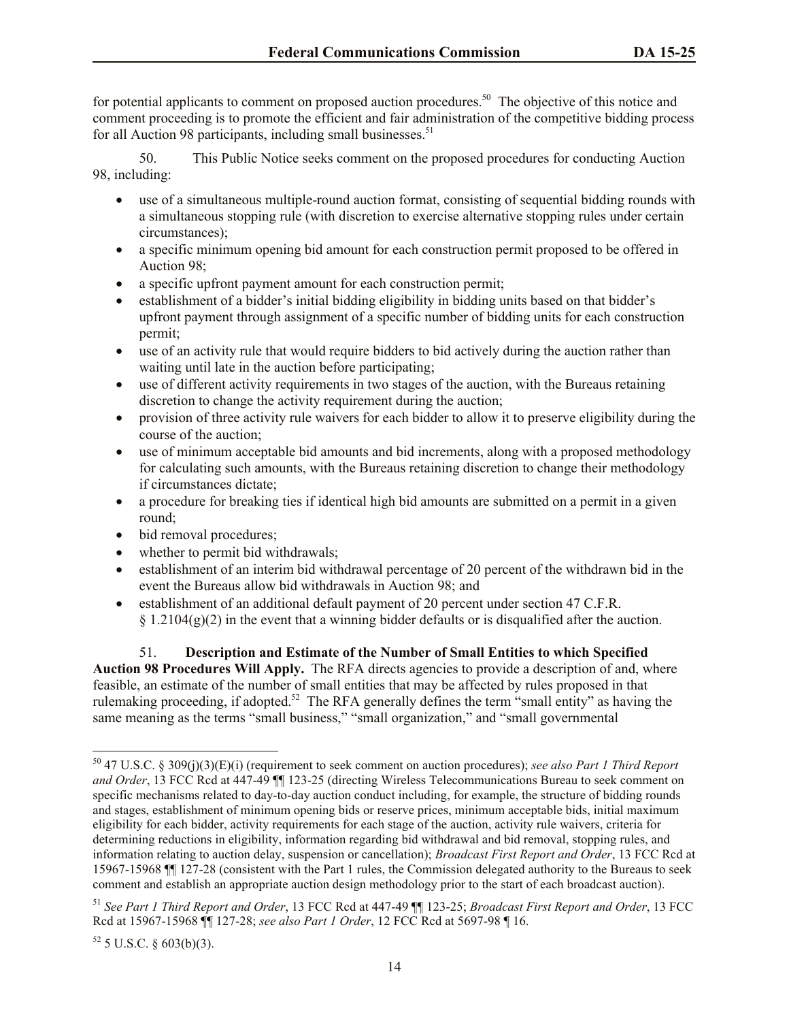for potential applicants to comment on proposed auction procedures.<sup>50</sup> The objective of this notice and comment proceeding is to promote the efficient and fair administration of the competitive bidding process for all Auction 98 participants, including small businesses.<sup>51</sup>

50. This Public Notice seeks comment on the proposed procedures for conducting Auction 98, including:

- use of a simultaneous multiple-round auction format, consisting of sequential bidding rounds with a simultaneous stopping rule (with discretion to exercise alternative stopping rules under certain circumstances);
- a specific minimum opening bid amount for each construction permit proposed to be offered in Auction 98;
- a specific upfront payment amount for each construction permit;
- establishment of a bidder's initial bidding eligibility in bidding units based on that bidder's upfront payment through assignment of a specific number of bidding units for each construction permit;
- use of an activity rule that would require bidders to bid actively during the auction rather than waiting until late in the auction before participating;
- use of different activity requirements in two stages of the auction, with the Bureaus retaining discretion to change the activity requirement during the auction;
- provision of three activity rule waivers for each bidder to allow it to preserve eligibility during the course of the auction;
- use of minimum acceptable bid amounts and bid increments, along with a proposed methodology for calculating such amounts, with the Bureaus retaining discretion to change their methodology if circumstances dictate;
- a procedure for breaking ties if identical high bid amounts are submitted on a permit in a given round;
- bid removal procedures;
- whether to permit bid withdrawals;
- establishment of an interim bid withdrawal percentage of 20 percent of the withdrawn bid in the event the Bureaus allow bid withdrawals in Auction 98; and
- establishment of an additional default payment of 20 percent under section 47 C.F.R.  $\S 1.2104(g)(2)$  in the event that a winning bidder defaults or is disqualified after the auction.

51. **Description and Estimate of the Number of Small Entities to which Specified Auction 98 Procedures Will Apply.** The RFA directs agencies to provide a description of and, where feasible, an estimate of the number of small entities that may be affected by rules proposed in that rulemaking proceeding, if adopted.<sup>52</sup> The RFA generally defines the term "small entity" as having the same meaning as the terms "small business," "small organization," and "small governmental

 $52$  5 U.S.C. § 603(b)(3).

l <sup>50</sup> 47 U.S.C. § 309(j)(3)(E)(i) (requirement to seek comment on auction procedures); *see also Part 1 Third Report and Order*, 13 FCC Rcd at 447-49 ¶¶ 123-25 (directing Wireless Telecommunications Bureau to seek comment on specific mechanisms related to day-to-day auction conduct including, for example, the structure of bidding rounds and stages, establishment of minimum opening bids or reserve prices, minimum acceptable bids, initial maximum eligibility for each bidder, activity requirements for each stage of the auction, activity rule waivers, criteria for determining reductions in eligibility, information regarding bid withdrawal and bid removal, stopping rules, and information relating to auction delay, suspension or cancellation); *Broadcast First Report and Order*, 13 FCC Rcd at 15967-15968 ¶¶ 127-28 (consistent with the Part 1 rules, the Commission delegated authority to the Bureaus to seek comment and establish an appropriate auction design methodology prior to the start of each broadcast auction).

<sup>51</sup> *See Part 1 Third Report and Order*, 13 FCC Rcd at 447-49 ¶¶ 123-25; *Broadcast First Report and Order*, 13 FCC Rcd at 15967-15968 ¶¶ 127-28; *see also Part 1 Order*, 12 FCC Rcd at 5697-98 ¶ 16.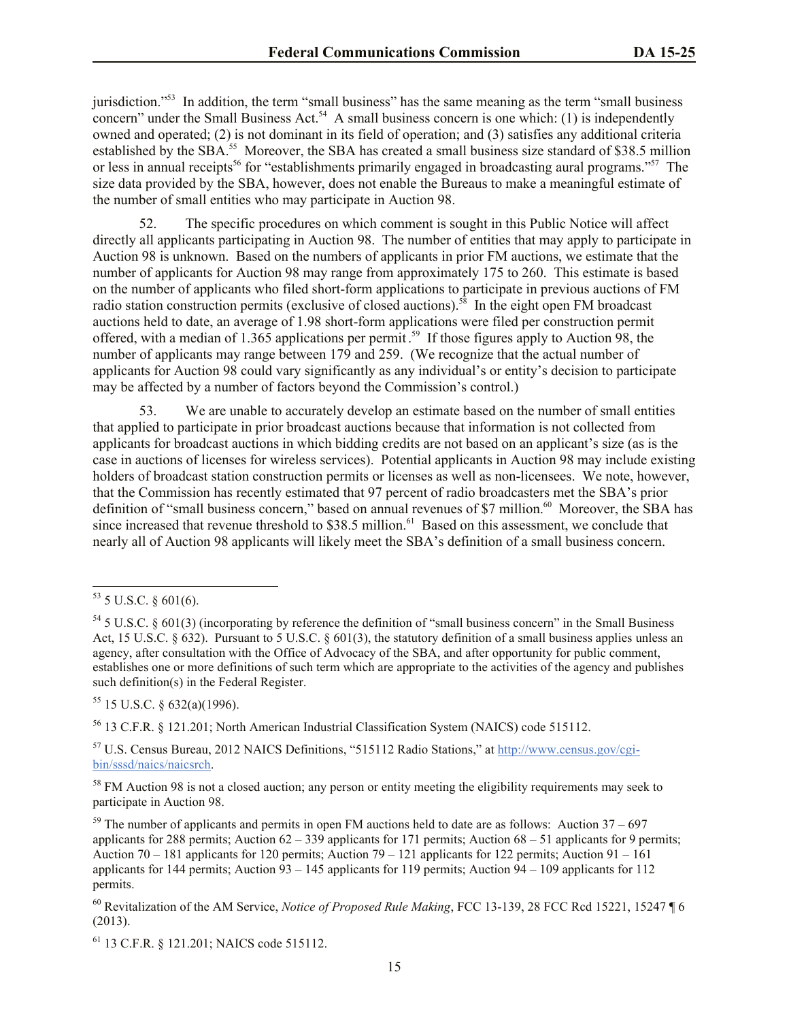jurisdiction."<sup>53</sup> In addition, the term "small business" has the same meaning as the term "small business concern" under the Small Business Act.<sup>54</sup> A small business concern is one which: (1) is independently owned and operated; (2) is not dominant in its field of operation; and (3) satisfies any additional criteria established by the SBA.<sup>55</sup> Moreover, the SBA has created a small business size standard of \$38.5 million or less in annual receipts<sup>56</sup> for "establishments primarily engaged in broadcasting aural programs."<sup>57</sup> The size data provided by the SBA, however, does not enable the Bureaus to make a meaningful estimate of the number of small entities who may participate in Auction 98.

52. The specific procedures on which comment is sought in this Public Notice will affect directly all applicants participating in Auction 98. The number of entities that may apply to participate in Auction 98 is unknown. Based on the numbers of applicants in prior FM auctions, we estimate that the number of applicants for Auction 98 may range from approximately 175 to 260. This estimate is based on the number of applicants who filed short-form applications to participate in previous auctions of FM radio station construction permits (exclusive of closed auctions).<sup>58</sup> In the eight open FM broadcast auctions held to date, an average of 1.98 short-form applications were filed per construction permit offered, with a median of 1.365 applications per permit.<sup>59</sup> If those figures apply to Auction 98, the number of applicants may range between 179 and 259. (We recognize that the actual number of applicants for Auction 98 could vary significantly as any individual's or entity's decision to participate may be affected by a number of factors beyond the Commission's control.)

53. We are unable to accurately develop an estimate based on the number of small entities that applied to participate in prior broadcast auctions because that information is not collected from applicants for broadcast auctions in which bidding credits are not based on an applicant's size (as is the case in auctions of licenses for wireless services). Potential applicants in Auction 98 may include existing holders of broadcast station construction permits or licenses as well as non-licensees. We note, however, that the Commission has recently estimated that 97 percent of radio broadcasters met the SBA's prior definition of "small business concern," based on annual revenues of \$7 million.<sup>60</sup> Moreover, the SBA has since increased that revenue threshold to \$38.5 million.<sup>61</sup> Based on this assessment, we conclude that nearly all of Auction 98 applicants will likely meet the SBA's definition of a small business concern.

 $55$  15 U.S.C.  $\frac{632(a)(1996)}{2}$ .

<sup>56</sup> 13 C.F.R. § 121.201; North American Industrial Classification System (NAICS) code 515112.

<sup>57</sup> U.S. Census Bureau, 2012 NAICS Definitions, "515112 Radio Stations," at http://www.census.gov/cgibin/sssd/naics/naicsrch.

<sup>58</sup> FM Auction 98 is not a closed auction; any person or entity meeting the eligibility requirements may seek to participate in Auction 98.

<sup>59</sup> The number of applicants and permits in open FM auctions held to date are as follows: Auction  $37 - 697$ applicants for 288 permits; Auction  $62 - 339$  applicants for 171 permits; Auction  $68 - 51$  applicants for 9 permits; Auction 70 – 181 applicants for 120 permits; Auction 79 – 121 applicants for 122 permits; Auction 91 – 161 applicants for 144 permits; Auction  $93 - 145$  applicants for 119 permits; Auction  $94 - 109$  applicants for 112 permits.

<sup>60</sup> Revitalization of the AM Service, *Notice of Proposed Rule Making*, FCC 13-139, 28 FCC Rcd 15221, 15247 ¶ 6 (2013).

<sup>61</sup> 13 C.F.R. § 121.201; NAICS code 515112.

l  $53$  5 U.S.C. § 601(6).

 $54$  5 U.S.C. § 601(3) (incorporating by reference the definition of "small business concern" in the Small Business Act, 15 U.S.C. § 632). Pursuant to 5 U.S.C. § 601(3), the statutory definition of a small business applies unless an agency, after consultation with the Office of Advocacy of the SBA, and after opportunity for public comment, establishes one or more definitions of such term which are appropriate to the activities of the agency and publishes such definition(s) in the Federal Register.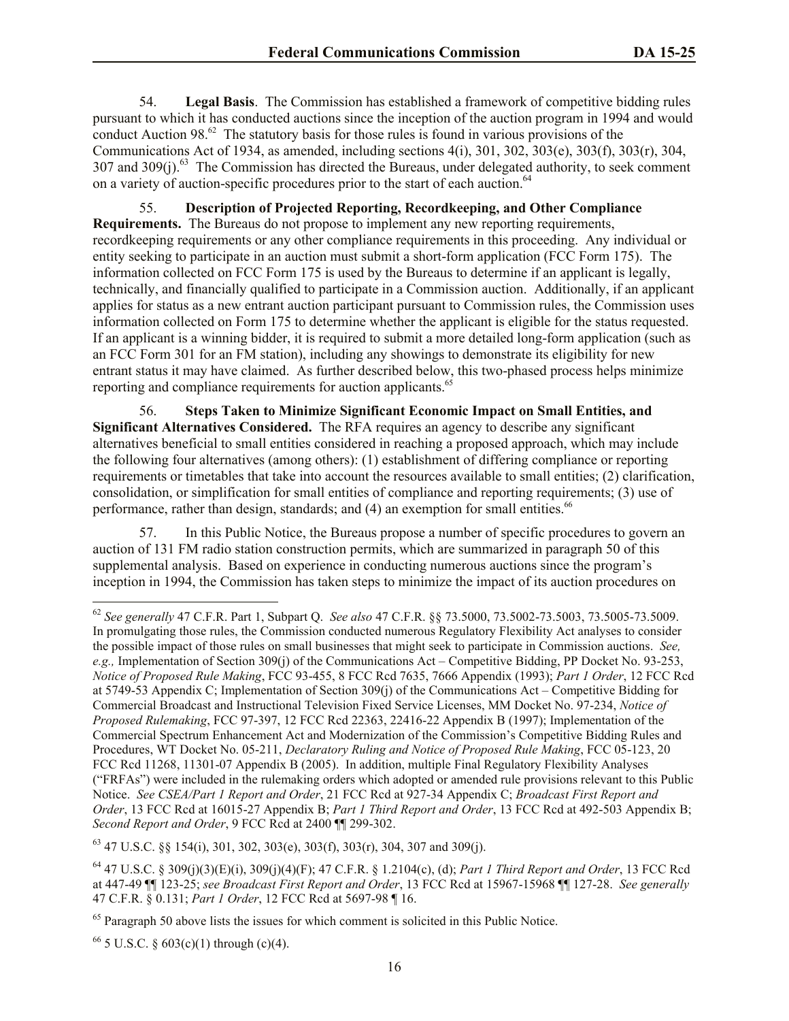54. **Legal Basis**. The Commission has established a framework of competitive bidding rules pursuant to which it has conducted auctions since the inception of the auction program in 1994 and would conduct Auction  $98.62$  The statutory basis for those rules is found in various provisions of the Communications Act of 1934, as amended, including sections 4(i), 301, 302, 303(e), 303(f), 303(r), 304, 307 and 309(j). 63 The Commission has directed the Bureaus, under delegated authority, to seek comment on a variety of auction-specific procedures prior to the start of each auction.<sup>64</sup>

55. **Description of Projected Reporting, Recordkeeping, and Other Compliance Requirements.** The Bureaus do not propose to implement any new reporting requirements, recordkeeping requirements or any other compliance requirements in this proceeding. Any individual or entity seeking to participate in an auction must submit a short-form application (FCC Form 175). The information collected on FCC Form 175 is used by the Bureaus to determine if an applicant is legally, technically, and financially qualified to participate in a Commission auction. Additionally, if an applicant applies for status as a new entrant auction participant pursuant to Commission rules, the Commission uses information collected on Form 175 to determine whether the applicant is eligible for the status requested. If an applicant is a winning bidder, it is required to submit a more detailed long-form application (such as an FCC Form 301 for an FM station), including any showings to demonstrate its eligibility for new entrant status it may have claimed. As further described below, this two-phased process helps minimize reporting and compliance requirements for auction applicants.<sup>65</sup>

56. **Steps Taken to Minimize Significant Economic Impact on Small Entities, and Significant Alternatives Considered.** The RFA requires an agency to describe any significant alternatives beneficial to small entities considered in reaching a proposed approach, which may include the following four alternatives (among others): (1) establishment of differing compliance or reporting requirements or timetables that take into account the resources available to small entities; (2) clarification, consolidation, or simplification for small entities of compliance and reporting requirements; (3) use of performance, rather than design, standards; and (4) an exemption for small entities.<sup>66</sup>

57. In this Public Notice, the Bureaus propose a number of specific procedures to govern an auction of 131 FM radio station construction permits, which are summarized in paragraph 50 of this supplemental analysis. Based on experience in conducting numerous auctions since the program's inception in 1994, the Commission has taken steps to minimize the impact of its auction procedures on

<sup>62</sup> *See generally* 47 C.F.R. Part 1, Subpart Q. *See also* 47 C.F.R. §§ 73.5000, 73.5002-73.5003, 73.5005-73.5009. In promulgating those rules, the Commission conducted numerous Regulatory Flexibility Act analyses to consider the possible impact of those rules on small businesses that might seek to participate in Commission auctions. *See, e.g.,* Implementation of Section 309(j) of the Communications Act – Competitive Bidding, PP Docket No. 93-253, *Notice of Proposed Rule Making*, FCC 93-455, 8 FCC Rcd 7635, 7666 Appendix (1993); *Part 1 Order*, 12 FCC Rcd at 5749-53 Appendix C; Implementation of Section 309(j) of the Communications Act – Competitive Bidding for Commercial Broadcast and Instructional Television Fixed Service Licenses, MM Docket No. 97-234, *Notice of Proposed Rulemaking*, FCC 97-397, 12 FCC Rcd 22363, 22416-22 Appendix B (1997); Implementation of the Commercial Spectrum Enhancement Act and Modernization of the Commission's Competitive Bidding Rules and Procedures, WT Docket No. 05-211, *Declaratory Ruling and Notice of Proposed Rule Making*, FCC 05-123, 20 FCC Rcd 11268, 11301-07 Appendix B (2005). In addition, multiple Final Regulatory Flexibility Analyses ("FRFAs") were included in the rulemaking orders which adopted or amended rule provisions relevant to this Public Notice. *See CSEA/Part 1 Report and Order*, 21 FCC Rcd at 927-34 Appendix C; *Broadcast First Report and Order*, 13 FCC Rcd at 16015-27 Appendix B; *Part 1 Third Report and Order*, 13 FCC Rcd at 492-503 Appendix B; *Second Report and Order*, 9 FCC Rcd at 2400 ¶¶ 299-302.

<sup>63</sup> 47 U.S.C. §§ 154(i), 301, 302, 303(e), 303(f), 303(r), 304, 307 and 309(j).

<sup>64</sup> 47 U.S.C. § 309(j)(3)(E)(i), 309(j)(4)(F); 47 C.F.R. § 1.2104(c), (d); *Part 1 Third Report and Order*, 13 FCC Rcd at 447-49 ¶¶ 123-25; *see Broadcast First Report and Order*, 13 FCC Rcd at 15967-15968 ¶¶ 127-28. *See generally*  47 C.F.R. § 0.131; *Part 1 Order*, 12 FCC Rcd at 5697-98 ¶ 16.

<sup>&</sup>lt;sup>65</sup> Paragraph 50 above lists the issues for which comment is solicited in this Public Notice.

 $66$  5 U.S.C. § 603(c)(1) through (c)(4).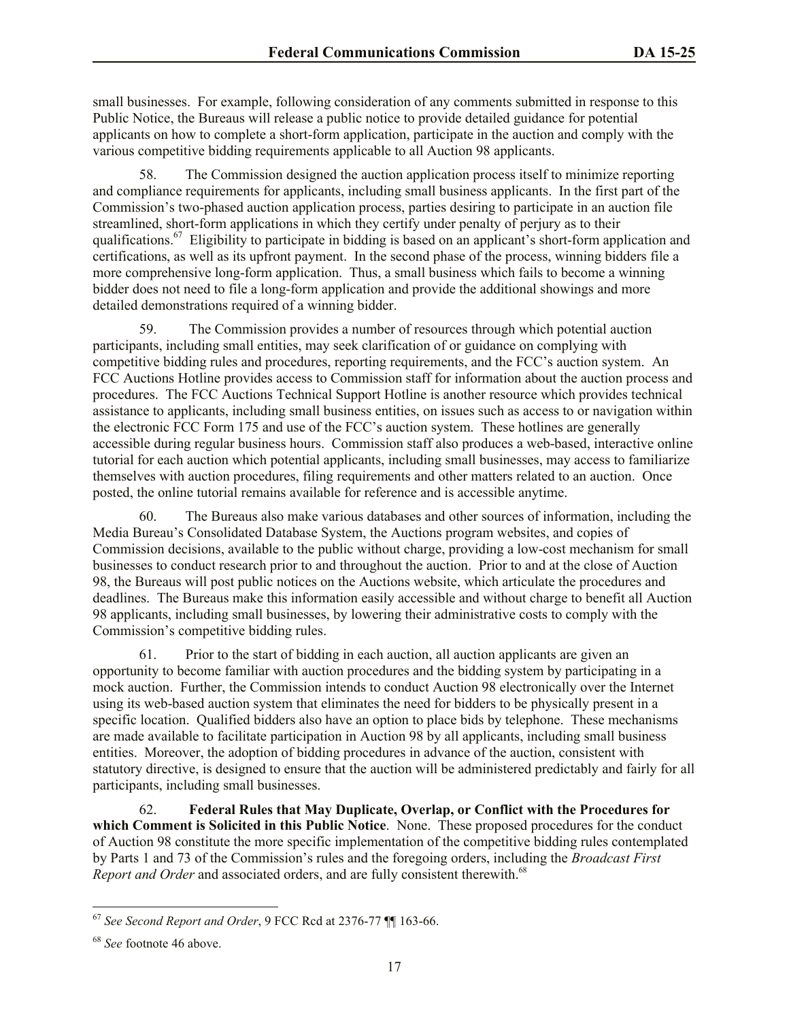small businesses. For example, following consideration of any comments submitted in response to this Public Notice, the Bureaus will release a public notice to provide detailed guidance for potential applicants on how to complete a short-form application, participate in the auction and comply with the various competitive bidding requirements applicable to all Auction 98 applicants.

58. The Commission designed the auction application process itself to minimize reporting and compliance requirements for applicants, including small business applicants. In the first part of the Commission's two-phased auction application process, parties desiring to participate in an auction file streamlined, short-form applications in which they certify under penalty of perjury as to their qualifications.<sup>67</sup> Eligibility to participate in bidding is based on an applicant's short-form application and certifications, as well as its upfront payment. In the second phase of the process, winning bidders file a more comprehensive long-form application. Thus, a small business which fails to become a winning bidder does not need to file a long-form application and provide the additional showings and more detailed demonstrations required of a winning bidder.

59. The Commission provides a number of resources through which potential auction participants, including small entities, may seek clarification of or guidance on complying with competitive bidding rules and procedures, reporting requirements, and the FCC's auction system. An FCC Auctions Hotline provides access to Commission staff for information about the auction process and procedures. The FCC Auctions Technical Support Hotline is another resource which provides technical assistance to applicants, including small business entities, on issues such as access to or navigation within the electronic FCC Form 175 and use of the FCC's auction system. These hotlines are generally accessible during regular business hours. Commission staff also produces a web-based, interactive online tutorial for each auction which potential applicants, including small businesses, may access to familiarize themselves with auction procedures, filing requirements and other matters related to an auction. Once posted, the online tutorial remains available for reference and is accessible anytime.

60. The Bureaus also make various databases and other sources of information, including the Media Bureau's Consolidated Database System, the Auctions program websites, and copies of Commission decisions, available to the public without charge, providing a low-cost mechanism for small businesses to conduct research prior to and throughout the auction. Prior to and at the close of Auction 98, the Bureaus will post public notices on the Auctions website, which articulate the procedures and deadlines. The Bureaus make this information easily accessible and without charge to benefit all Auction 98 applicants, including small businesses, by lowering their administrative costs to comply with the Commission's competitive bidding rules.

61. Prior to the start of bidding in each auction, all auction applicants are given an opportunity to become familiar with auction procedures and the bidding system by participating in a mock auction. Further, the Commission intends to conduct Auction 98 electronically over the Internet using its web-based auction system that eliminates the need for bidders to be physically present in a specific location. Qualified bidders also have an option to place bids by telephone. These mechanisms are made available to facilitate participation in Auction 98 by all applicants, including small business entities. Moreover, the adoption of bidding procedures in advance of the auction, consistent with statutory directive, is designed to ensure that the auction will be administered predictably and fairly for all participants, including small businesses.

62. **Federal Rules that May Duplicate, Overlap, or Conflict with the Procedures for which Comment is Solicited in this Public Notice**. None. These proposed procedures for the conduct of Auction 98 constitute the more specific implementation of the competitive bidding rules contemplated by Parts 1 and 73 of the Commission's rules and the foregoing orders, including the *Broadcast First Report and Order* and associated orders, and are fully consistent therewith.<sup>68</sup>

l <sup>67</sup> *See Second Report and Order*, 9 FCC Rcd at 2376-77 ¶¶ 163-66.

<sup>68</sup> *See* footnote 46 above.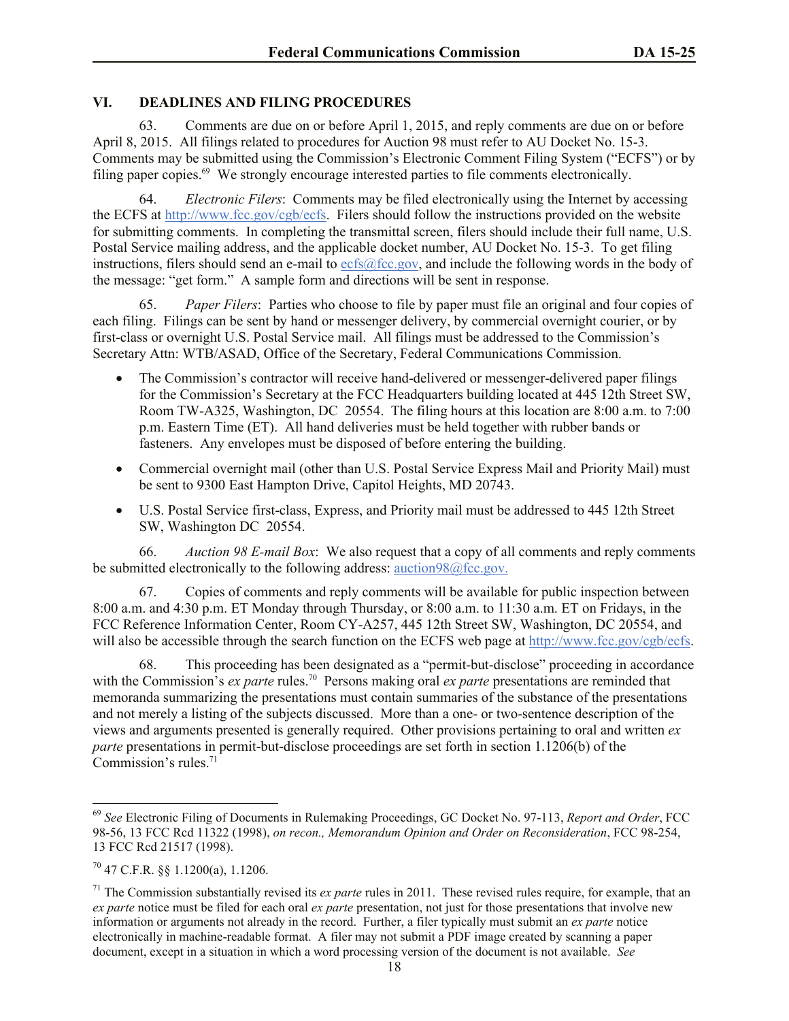# **VI. DEADLINES AND FILING PROCEDURES**

63. Comments are due on or before April 1, 2015, and reply comments are due on or before April 8, 2015. All filings related to procedures for Auction 98 must refer to AU Docket No. 15-3. Comments may be submitted using the Commission's Electronic Comment Filing System ("ECFS") or by filing paper copies.<sup>69</sup> We strongly encourage interested parties to file comments electronically.

64. *Electronic Filers*: Comments may be filed electronically using the Internet by accessing the ECFS at http://www.fcc.gov/cgb/ecfs. Filers should follow the instructions provided on the website for submitting comments. In completing the transmittal screen, filers should include their full name, U.S. Postal Service mailing address, and the applicable docket number, AU Docket No. 15-3. To get filing instructions, filers should send an e-mail to ecfs@fcc.gov, and include the following words in the body of the message: "get form." A sample form and directions will be sent in response.

65. *Paper Filers*: Parties who choose to file by paper must file an original and four copies of each filing. Filings can be sent by hand or messenger delivery, by commercial overnight courier, or by first-class or overnight U.S. Postal Service mail. All filings must be addressed to the Commission's Secretary Attn: WTB/ASAD, Office of the Secretary, Federal Communications Commission.

- The Commission's contractor will receive hand-delivered or messenger-delivered paper filings for the Commission's Secretary at the FCC Headquarters building located at 445 12th Street SW, Room TW-A325, Washington, DC 20554. The filing hours at this location are 8:00 a.m. to 7:00 p.m. Eastern Time (ET). All hand deliveries must be held together with rubber bands or fasteners. Any envelopes must be disposed of before entering the building.
- Commercial overnight mail (other than U.S. Postal Service Express Mail and Priority Mail) must be sent to 9300 East Hampton Drive, Capitol Heights, MD 20743.
- U.S. Postal Service first-class, Express, and Priority mail must be addressed to 445 12th Street SW, Washington DC 20554.

66. *Auction 98 E-mail Box*: We also request that a copy of all comments and reply comments be submitted electronically to the following address: <u>auction98@fcc.gov.</u>

67. Copies of comments and reply comments will be available for public inspection between 8:00 a.m. and 4:30 p.m. ET Monday through Thursday, or 8:00 a.m. to 11:30 a.m. ET on Fridays, in the FCC Reference Information Center, Room CY-A257, 445 12th Street SW, Washington, DC 20554, and will also be accessible through the search function on the ECFS web page at http://www.fcc.gov/cgb/ecfs.

68. This proceeding has been designated as a "permit-but-disclose" proceeding in accordance with the Commission's *ex parte* rules.<sup>70</sup> Persons making oral *ex parte* presentations are reminded that memoranda summarizing the presentations must contain summaries of the substance of the presentations and not merely a listing of the subjects discussed. More than a one- or two-sentence description of the views and arguments presented is generally required. Other provisions pertaining to oral and written *ex parte* presentations in permit-but-disclose proceedings are set forth in section 1.1206(b) of the Commission's rules.<sup>71</sup>

<sup>69</sup> *See* Electronic Filing of Documents in Rulemaking Proceedings, GC Docket No. 97-113, *Report and Order*, FCC 98-56, 13 FCC Rcd 11322 (1998), *on recon., Memorandum Opinion and Order on Reconsideration*, FCC 98-254, 13 FCC Rcd 21517 (1998).

 $^{70}$  47 C.F.R. §§ 1.1200(a), 1.1206.

<sup>71</sup> The Commission substantially revised its *ex parte* rules in 2011. These revised rules require, for example, that an *ex parte* notice must be filed for each oral *ex parte* presentation, not just for those presentations that involve new information or arguments not already in the record. Further, a filer typically must submit an *ex parte* notice electronically in machine-readable format. A filer may not submit a PDF image created by scanning a paper document, except in a situation in which a word processing version of the document is not available. *See*